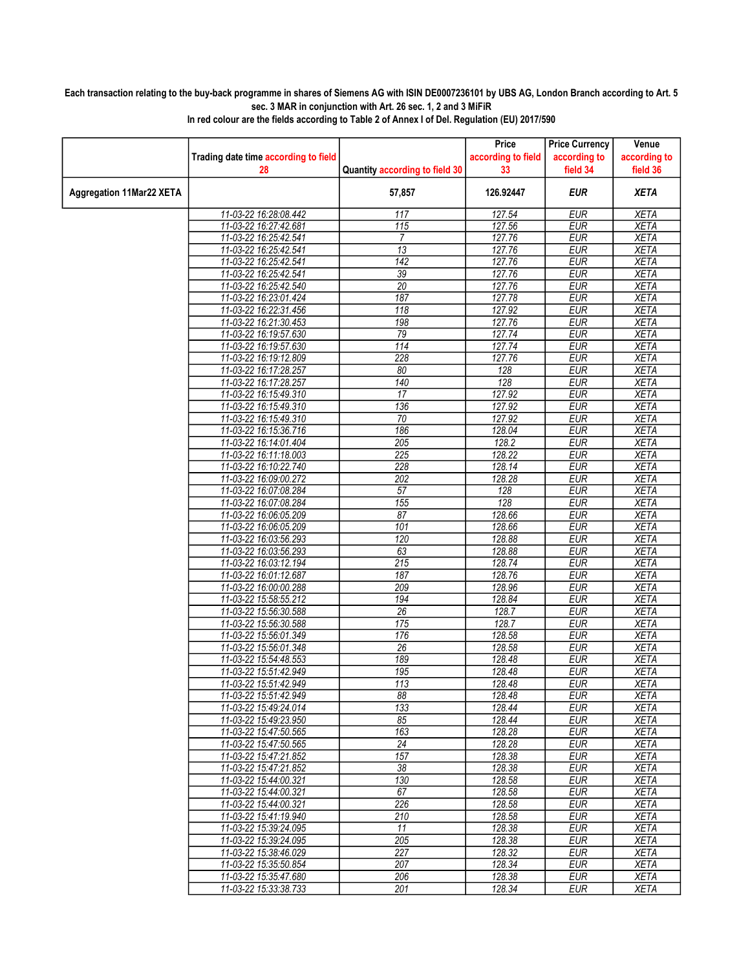## Each transaction relating to the buy-back programme in shares of Siemens AG with ISIN DE0007236101 by UBS AG, London Branch according to Art. 5 sec. 3 MAR in conjunction with Art. 26 sec. 1, 2 and 3 MiFiR

|                          |                                                |                                | Price              | <b>Price Currency</b>    | Venue                      |
|--------------------------|------------------------------------------------|--------------------------------|--------------------|--------------------------|----------------------------|
|                          | Trading date time according to field           |                                | according to field | according to             | according to               |
|                          | 28                                             | Quantity according to field 30 | 33                 | field 34                 | field 36                   |
| Aggregation 11Mar22 XETA |                                                | 57,857                         | 126.92447          | <b>EUR</b>               | <b>XETA</b>                |
|                          | 11-03-22 16:28:08.442                          | 117                            | 127.54             | <b>EUR</b>               | <b>XETA</b>                |
|                          | 11-03-22 16:27:42.681                          | 115                            | 127.56             | <b>EUR</b>               | <b>XETA</b>                |
|                          | 11-03-22 16:25:42.541                          | 7                              | 127.76             | <b>EUR</b>               | <b>XETA</b>                |
|                          | 11-03-22 16:25:42.541                          | $\overline{13}$                | 127.76             | <b>EUR</b>               | <b>XETA</b>                |
|                          | 11-03-22 16:25:42.541                          | 142                            | 127.76             | <b>EUR</b>               | <b>XETA</b>                |
|                          | 11-03-22 16:25:42.541                          | $\overline{39}$                | 127.76             | <b>EUR</b>               | <b>XETA</b>                |
|                          | 11-03-22 16:25:42.540                          | 20                             | 127.76             | <b>EUR</b>               | <b>XETA</b>                |
|                          | 11-03-22 16:23:01.424                          | 187                            | 127.78             | <b>EUR</b>               | <b>XETA</b>                |
|                          | 11-03-22 16:22:31.456                          | 118                            | 127.92             | <b>EUR</b>               | <b>XETA</b>                |
|                          | 11-03-22 16:21:30.453                          | 198                            | 127.76             | <b>EUR</b>               | <b>XETA</b>                |
|                          | 11-03-22 16:19:57.630                          | 79                             | 127.74             | <b>EUR</b>               | <b>XETA</b>                |
|                          | 11-03-22 16:19:57.630                          | 114                            | 127.74             | <b>EUR</b>               | <b>XETA</b>                |
|                          | 11-03-22 16:19:12.809                          | 228<br>80                      | 127.76             | <b>EUR</b><br><b>EUR</b> | <b>XETA</b><br><b>XETA</b> |
|                          | 11-03-22 16:17:28.257                          | 140                            | 128                |                          |                            |
|                          | 11-03-22 16:17:28.257<br>11-03-22 16:15:49.310 | 17                             | 128<br>127.92      | <b>EUR</b><br><b>EUR</b> | <b>XETA</b><br><b>XETA</b> |
|                          | 11-03-22 16:15:49.310                          | 136                            | 127.92             | <b>EUR</b>               | <b>XETA</b>                |
|                          | 11-03-22 16:15:49.310                          | $\overline{70}$                | 127.92             | <b>EUR</b>               | <b>XETA</b>                |
|                          | 11-03-22 16:15:36.716                          | 186                            | 128.04             | <b>EUR</b>               | <b>XETA</b>                |
|                          | 11-03-22 16:14:01.404                          | 205                            | 128.2              | <b>EUR</b>               | <b>XETA</b>                |
|                          | 11-03-22 16:11:18.003                          | 225                            | 128.22             | <b>EUR</b>               | <b>XETA</b>                |
|                          | 11-03-22 16:10:22.740                          | 228                            | 128.14             | <b>EUR</b>               | <b>XETA</b>                |
|                          | 11-03-22 16:09:00.272                          | 202                            | 128.28             | <b>EUR</b>               | <b>XETA</b>                |
|                          | 11-03-22 16:07:08.284                          | 57                             | 128                | <b>EUR</b>               | <b>XETA</b>                |
|                          | 11-03-22 16:07:08.284                          | 155                            | 128                | <b>EUR</b>               | <b>XETA</b>                |
|                          | 11-03-22 16:06:05.209                          | 87                             | 128.66             | <b>EUR</b>               | <b>XETA</b>                |
|                          | 11-03-22 16:06:05.209                          | 101                            | 128.66             | <b>EUR</b>               | <b>XETA</b>                |
|                          | 11-03-22 16:03:56.293                          | 120                            | 128.88             | <b>EUR</b>               | <b>XETA</b>                |
|                          | 11-03-22 16:03:56.293                          | 63                             | 128.88             | <b>EUR</b>               | <b>XETA</b>                |
|                          | 11-03-22 16:03:12.194                          | 215                            | 128.74             | <b>EUR</b>               | <b>XETA</b>                |
|                          | 11-03-22 16:01:12.687                          | 187                            | 128.76             | <b>EUR</b>               | <b>XETA</b>                |
|                          | 11-03-22 16:00:00.288                          | 209                            | 128.96             | <b>EUR</b>               | <b>XETA</b>                |
|                          | 11-03-22 15:58:55.212                          | 194                            | 128.84             | <b>EUR</b>               | <b>XETA</b>                |
|                          | 11-03-22 15:56:30.588                          | 26                             | 128.7              | <b>EUR</b>               | <b>XETA</b>                |
|                          | 11-03-22 15:56:30.588                          | 175                            | 128.7              | <b>EUR</b>               | <b>XETA</b>                |
|                          | 11-03-22 15:56:01.349                          | 176                            | 128.58             | <b>EUR</b>               | <b>XETA</b>                |
|                          | 11-03-22 15:56:01.348                          | 26                             | 128.58             | <b>EUR</b>               | <b>XETA</b>                |
|                          | 11-03-22 15:54:48.553                          | 189                            | 128.48             | <b>EUR</b>               | <b>XETA</b>                |
|                          | 11-03-22 15:51:42.949                          | 195                            | 128.48             | <b>EUR</b>               | <b>XETA</b>                |
|                          | 11-03-22 15:51:42.949                          | 113                            | 128.48             | <b>EUR</b>               | <b>XETA</b>                |
|                          | 11-03-22 15:51:42.949<br>11-03-22 15:49:24.014 | 88<br>133                      | 128.48<br>128.44   | EUR<br><b>EUR</b>        | XETA<br><b>XETA</b>        |
|                          | 11-03-22 15:49:23.950                          | 85                             | 128.44             | <b>EUR</b>               | <b>XETA</b>                |
|                          | 11-03-22 15:47:50.565                          | 163                            | 128.28             | <b>EUR</b>               | <b>XETA</b>                |
|                          | 11-03-22 15:47:50.565                          | 24                             | 128.28             | <b>EUR</b>               | <b>XETA</b>                |
|                          | 11-03-22 15:47:21.852                          | 157                            | 128.38             | <b>EUR</b>               | <b>XETA</b>                |
|                          | 11-03-22 15:47:21.852                          | 38                             | 128.38             | <b>EUR</b>               | <b>XETA</b>                |
|                          | 11-03-22 15:44:00.321                          | 130                            | 128.58             | <b>EUR</b>               | <b>XETA</b>                |
|                          | 11-03-22 15:44:00.321                          | 67                             | 128.58             | <b>EUR</b>               | <b>XETA</b>                |
|                          | 11-03-22 15:44:00.321                          | 226                            | 128.58             | <b>EUR</b>               | <b>XETA</b>                |
|                          | 11-03-22 15:41:19.940                          | 210                            | 128.58             | <b>EUR</b>               | <b>XETA</b>                |
|                          | 11-03-22 15:39:24.095                          | 11                             | 128.38             | <b>EUR</b>               | <b>XETA</b>                |
|                          | 11-03-22 15:39:24.095                          | 205                            | 128.38             | <b>EUR</b>               | <b>XETA</b>                |
|                          | 11-03-22 15:38:46.029                          | 227                            | 128.32             | <b>EUR</b>               | <b>XETA</b>                |
|                          | 11-03-22 15:35:50.854                          | 207                            | 128.34             | <b>EUR</b>               | <b>XETA</b>                |
|                          | 11-03-22 15:35:47.680                          | 206                            | 128.38             | <b>EUR</b>               | <b>XETA</b>                |
|                          | 11-03-22 15:33:38.733                          | 201                            | 128.34             | <b>EUR</b>               | <b>XETA</b>                |

In red colour are the fields according to Table 2 of Annex I of Del. Regulation (EU) 2017/590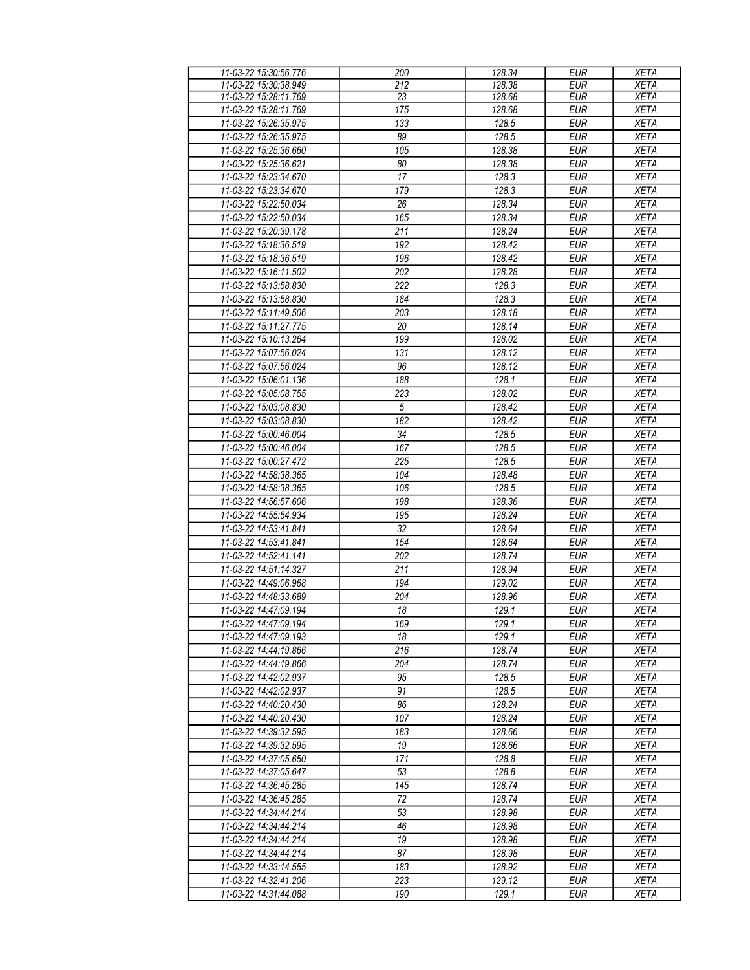| 11-03-22 15:30:56.776 | 200              | 128.34 | <b>EUR</b> | <b>XETA</b> |
|-----------------------|------------------|--------|------------|-------------|
| 11-03-22 15:30:38.949 | 212              | 128.38 | EUR        | <b>XETA</b> |
| 11-03-22 15:28:11.769 | 23               | 128.68 | <b>EUR</b> | <b>XETA</b> |
| 11-03-22 15:28:11.769 | 175              | 128.68 | <b>EUR</b> | <b>XETA</b> |
| 11-03-22 15:26:35.975 | $\overline{133}$ | 128.5  | <b>EUR</b> | <b>XETA</b> |
| 11-03-22 15:26:35.975 | 89               | 128.5  | <b>EUR</b> | <b>XETA</b> |
|                       |                  |        |            |             |
| 11-03-22 15:25:36.660 | 105              | 128.38 | <b>EUR</b> | <b>XETA</b> |
| 11-03-22 15:25:36.621 | 80               | 128.38 | <b>EUR</b> | <b>XETA</b> |
| 11-03-22 15:23:34.670 | 17               | 128.3  | <b>EUR</b> | <b>XETA</b> |
| 11-03-22 15:23:34.670 | 179              | 128.3  | <b>EUR</b> | <b>XETA</b> |
| 11-03-22 15:22:50.034 | 26               | 128.34 | <b>EUR</b> | <b>XETA</b> |
| 11-03-22 15:22:50.034 | 165              | 128.34 | <b>EUR</b> | <b>XETA</b> |
| 11-03-22 15:20:39.178 | 211              | 128.24 | <b>EUR</b> | <b>XETA</b> |
| 11-03-22 15:18:36.519 | 192              | 128.42 | <b>EUR</b> | <b>XETA</b> |
|                       |                  |        |            |             |
| 11-03-22 15:18:36.519 | 196              | 128.42 | <b>EUR</b> | <b>XETA</b> |
| 11-03-22 15:16:11.502 | 202              | 128.28 | <b>EUR</b> | <b>XETA</b> |
| 11-03-22 15:13:58.830 | 222              | 128.3  | <b>EUR</b> | <b>XETA</b> |
| 11-03-22 15:13:58.830 | 184              | 128.3  | <b>EUR</b> | <b>XETA</b> |
| 11-03-22 15:11:49.506 | 203              | 128.18 | <b>EUR</b> | <b>XETA</b> |
| 11-03-22 15:11:27.775 | 20               | 128.14 | <b>EUR</b> | <b>XETA</b> |
| 11-03-22 15:10:13.264 | 199              | 128.02 | <b>EUR</b> | <b>XETA</b> |
| 11-03-22 15:07:56.024 | 131              | 128.12 | <b>EUR</b> | <b>XETA</b> |
| 11-03-22 15:07:56.024 | 96               | 128.12 | <b>EUR</b> | <b>XETA</b> |
|                       |                  |        |            |             |
| 11-03-22 15:06:01.136 | 188              | 128.1  | <b>EUR</b> | <b>XETA</b> |
| 11-03-22 15:05:08.755 | 223              | 128.02 | <b>EUR</b> | <b>XETA</b> |
| 11-03-22 15:03:08.830 | $\sqrt{5}$       | 128.42 | <b>EUR</b> | <b>XETA</b> |
| 11-03-22 15:03:08.830 | 182              | 128.42 | <b>EUR</b> | <b>XETA</b> |
| 11-03-22 15:00:46.004 | 34               | 128.5  | <b>EUR</b> | <b>XETA</b> |
| 11-03-22 15:00:46.004 | 167              | 128.5  | <b>EUR</b> | <b>XETA</b> |
| 11-03-22 15:00:27.472 | $\overline{225}$ | 128.5  | <b>EUR</b> | <b>XETA</b> |
| 11-03-22 14:58:38.365 | 104              | 128.48 | <b>EUR</b> | <b>XETA</b> |
| 11-03-22 14:58:38.365 | 106              | 128.5  | <b>EUR</b> | <b>XETA</b> |
| 11-03-22 14:56:57.606 | 198              | 128.36 | <b>EUR</b> | <b>XETA</b> |
| 11-03-22 14:55:54.934 | 195              | 128.24 | <b>EUR</b> | <b>XETA</b> |
| 11-03-22 14:53:41.841 | 32               | 128.64 | <b>EUR</b> | <b>XETA</b> |
| 11-03-22 14:53:41.841 | 154              | 128.64 | <b>EUR</b> | <b>XETA</b> |
| 11-03-22 14:52:41.141 | 202              | 128.74 | <b>EUR</b> | <b>XETA</b> |
|                       |                  |        |            |             |
| 11-03-22 14:51:14.327 | 211              | 128.94 | <b>EUR</b> | <b>XETA</b> |
| 11-03-22 14:49:06.968 | 194              | 129.02 | <b>EUR</b> | <b>XETA</b> |
| 11-03-22 14:48:33.689 | 204              | 128.96 | <b>EUR</b> | <b>XETA</b> |
| 11-03-22 14:47:09.194 | 18               | 129.1  | <b>EUR</b> | <b>XETA</b> |
| 11-03-22 14:47:09.194 | 169              | 129.1  | <b>EUR</b> | <b>XETA</b> |
| 11-03-22 14:47:09.193 | 18               | 129.1  | EUR        | <b>XETA</b> |
| 11-03-22 14:44:19.866 | 216              | 128.74 | <b>EUR</b> | <b>XETA</b> |
| 11-03-22 14:44:19.866 | 204              | 128.74 | <b>EUR</b> | <b>XETA</b> |
| 11-03-22 14:42:02.937 | 95               | 128.5  | <b>EUR</b> | <b>XETA</b> |
| 11-03-22 14:42:02.937 | 91               | 128.5  | <b>EUR</b> | <b>XETA</b> |
| 11-03-22 14:40:20.430 | 86               | 128.24 | <b>EUR</b> | <b>XETA</b> |
| 11-03-22 14:40:20.430 | 107              | 128.24 | <b>EUR</b> | <b>XETA</b> |
| 11-03-22 14:39:32.595 | 183              | 128.66 | <b>EUR</b> | <b>XETA</b> |
|                       |                  |        |            |             |
| 11-03-22 14:39:32.595 | 19               | 128.66 | <b>EUR</b> | <b>XETA</b> |
| 11-03-22 14:37:05.650 | 171              | 128.8  | <b>EUR</b> | <b>XETA</b> |
| 11-03-22 14:37:05.647 | 53               | 128.8  | <b>EUR</b> | <b>XETA</b> |
| 11-03-22 14:36:45.285 | 145              | 128.74 | <b>EUR</b> | <b>XETA</b> |
| 11-03-22 14:36:45.285 | 72               | 128.74 | <b>EUR</b> | <b>XETA</b> |
| 11-03-22 14:34:44.214 | 53               | 128.98 | <b>EUR</b> | <b>XETA</b> |
| 11-03-22 14:34:44.214 | 46               | 128.98 | <b>EUR</b> | <b>XETA</b> |
| 11-03-22 14:34:44.214 | 19               | 128.98 | <b>EUR</b> | <b>XETA</b> |
| 11-03-22 14:34:44.214 | 87               | 128.98 | <b>EUR</b> | <b>XETA</b> |
| 11-03-22 14:33:14.555 | 183              | 128.92 | <b>EUR</b> | <b>XETA</b> |
| 11-03-22 14:32:41.206 | 223              | 129.12 | <b>EUR</b> | <b>XETA</b> |
| 11-03-22 14:31:44.088 | 190              | 129.1  | <b>EUR</b> | <b>XETA</b> |
|                       |                  |        |            |             |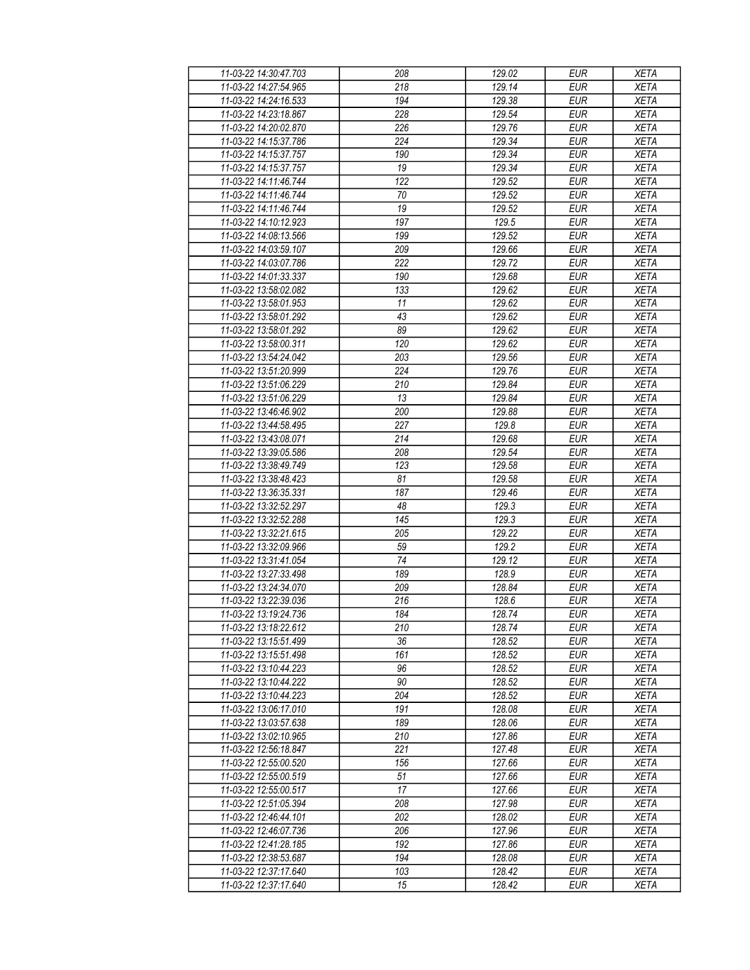| 11-03-22 14:30:47.703                          | 208              | 129.02           | <b>EUR</b>               | <b>XETA</b>                |
|------------------------------------------------|------------------|------------------|--------------------------|----------------------------|
| 11-03-22 14:27:54.965                          | 218              | 129.14           | <b>EUR</b>               | <b>XETA</b>                |
| 11-03-22 14:24:16.533                          | 194              | 129.38           | <b>EUR</b>               | <b>XETA</b>                |
| 11-03-22 14:23:18.867                          | 228              | 129.54           | <b>EUR</b>               | <b>XETA</b>                |
| 11-03-22 14:20:02.870                          | 226              | 129.76           | <b>EUR</b>               | <b>XETA</b>                |
| 11-03-22 14:15:37.786                          | 224              | 129.34           | <b>EUR</b>               | <b>XETA</b>                |
| 11-03-22 14:15:37.757                          | 190              | 129.34           | <b>EUR</b>               | <b>XETA</b>                |
| 11-03-22 14:15:37.757                          | 19               | 129.34           | <b>EUR</b>               | <b>XETA</b>                |
| 11-03-22 14:11:46.744                          | 122              | 129.52           | <b>EUR</b>               | <b>XETA</b>                |
| 11-03-22 14:11:46.744                          | 70               | 129.52           | EUR                      | <b>XETA</b>                |
| 11-03-22 14:11:46.744                          | 19               | 129.52           | <b>EUR</b>               | <b>XETA</b>                |
| 11-03-22 14:10:12.923                          | 197              | 129.5            | <b>EUR</b>               | <b>XETA</b>                |
| 11-03-22 14:08:13.566                          | 199              | 129.52           | <b>EUR</b>               | <b>XETA</b>                |
| 11-03-22 14:03:59.107                          | 209              | 129.66           | <b>EUR</b>               | <b>XETA</b>                |
| 11-03-22 14:03:07.786                          | $\overline{222}$ | 129.72           | <b>EUR</b>               | <b>XETA</b>                |
| 11-03-22 14:01:33.337                          | 190              | 129.68           | <b>EUR</b>               | <b>XETA</b>                |
| 11-03-22 13:58:02.082                          | 133              | 129.62           | <b>EUR</b>               | <b>XETA</b>                |
| 11-03-22 13:58:01.953                          | 11               | 129.62           | <b>EUR</b>               | <b>XETA</b>                |
| 11-03-22 13:58:01.292                          | 43               | 129.62           | <b>EUR</b>               | <b>XETA</b>                |
| 11-03-22 13:58:01.292                          | 89               | 129.62           | <b>EUR</b>               | <b>XETA</b>                |
| 11-03-22 13:58:00.311                          | 120              | 129.62           | <b>EUR</b>               | <b>XETA</b>                |
| 11-03-22 13:54:24.042                          | 203              | 129.56           | <b>EUR</b>               | <b>XETA</b>                |
| 11-03-22 13:51:20.999                          | 224              | 129.76           | <b>EUR</b>               | <b>XETA</b>                |
| 11-03-22 13:51:06.229                          | 210              | 129.84           | <b>EUR</b>               | <b>XETA</b>                |
| 11-03-22 13:51:06.229                          | 13               | 129.84           | <b>EUR</b>               | <b>XETA</b>                |
| 11-03-22 13:46:46.902                          | 200              | 129.88           | <b>EUR</b>               | <b>XETA</b>                |
| 11-03-22 13:44:58.495                          | 227              | 129.8            | <b>EUR</b>               | <b>XETA</b>                |
| 11-03-22 13:43:08.071                          | 214              | 129.68           | <b>EUR</b>               | <b>XETA</b>                |
| 11-03-22 13:39:05.586                          | 208              | 129.54           | <b>EUR</b>               | <b>XETA</b>                |
| 11-03-22 13:38:49.749                          | 123              | 129.58           | <b>EUR</b>               | <b>XETA</b>                |
|                                                |                  |                  |                          |                            |
| 11-03-22 13:38:48.423<br>11-03-22 13:36:35.331 | 81<br>187        | 129.58<br>129.46 | <b>EUR</b><br><b>EUR</b> | <b>XETA</b><br><b>XETA</b> |
| 11-03-22 13:32:52.297                          | 48               | 129.3            | <b>EUR</b>               | <b>XETA</b>                |
| 11-03-22 13:32:52.288                          | 145              | 129.3            | <b>EUR</b>               | <b>XETA</b>                |
| 11-03-22 13:32:21.615                          | 205              | 129.22           | <b>EUR</b>               | <b>XETA</b>                |
| 11-03-22 13:32:09.966                          | 59               | 129.2            | <b>EUR</b>               | <b>XETA</b>                |
| 11-03-22 13:31:41.054                          | 74               | 129.12           | <b>EUR</b>               | <b>XETA</b>                |
| 11-03-22 13:27:33.498                          | 189              | 128.9            | <b>EUR</b>               |                            |
| 11-03-22 13:24:34.070                          | 209              | 128.84           | <b>EUR</b>               | <b>XETA</b><br><b>XETA</b> |
| 11-03-22 13:22:39.036                          | $\overline{216}$ | 128.6            | <b>EUR</b>               | <b>XETA</b>                |
| 11-03-22 13:19:24.736                          | 184              | 128.74           | EUR                      | <b>XETA</b>                |
| 11-03-22 13:18:22.612                          | 210              | 128.74           | <b>EUR</b>               | <b>XETA</b>                |
|                                                |                  |                  |                          | <b>XETA</b>                |
| 11-03-22 13:15:51.499                          | 36               | 128.52           | <b>EUR</b>               |                            |
| 11-03-22 13:15:51.498                          | 161<br>96        | 128.52           | <b>EUR</b><br><b>EUR</b> | <b>XETA</b>                |
| 11-03-22 13:10:44.223<br>11-03-22 13:10:44.222 | 90               | 128.52<br>128.52 | <b>EUR</b>               | <b>XETA</b><br><b>XETA</b> |
| 11-03-22 13:10:44.223                          | 204              | 128.52           |                          |                            |
| 11-03-22 13:06:17.010                          |                  |                  | <b>EUR</b>               | <b>XETA</b>                |
| 11-03-22 13:03:57.638                          | 191<br>189       | 128.08<br>128.06 | <b>EUR</b><br><b>EUR</b> | <b>XETA</b><br><b>XETA</b> |
|                                                |                  |                  |                          |                            |
| 11-03-22 13:02:10.965                          | 210              | 127.86           | <b>EUR</b>               | <b>XETA</b>                |
| 11-03-22 12:56:18.847                          | 221              | 127.48           | <b>EUR</b>               | <b>XETA</b>                |
| 11-03-22 12:55:00.520                          | 156              | 127.66           | <b>EUR</b>               | <b>XETA</b>                |
| 11-03-22 12:55:00.519                          | 51               | 127.66           | <b>EUR</b>               | <b>XETA</b>                |
| 11-03-22 12:55:00.517                          | 17               | 127.66           | <b>EUR</b>               | <b>XETA</b>                |
| 11-03-22 12:51:05.394                          | 208              | 127.98           | <b>EUR</b>               | <b>XETA</b>                |
| 11-03-22 12:46:44.101                          | 202              | 128.02           | <b>EUR</b>               | <b>XETA</b>                |
| 11-03-22 12:46:07.736                          | 206              | 127.96           | <b>EUR</b>               | <b>XETA</b>                |
| 11-03-22 12:41:28.185                          | 192              | 127.86           | <b>EUR</b>               | <b>XETA</b>                |
| 11-03-22 12:38:53.687                          | 194              | 128.08           | <b>EUR</b>               | <b>XETA</b>                |
| 11-03-22 12:37:17.640                          | 103              | 128.42           | <b>EUR</b>               | <b>XETA</b>                |
| 11-03-22 12:37:17.640                          | 15               | 128.42           | <b>EUR</b>               | <b>XETA</b>                |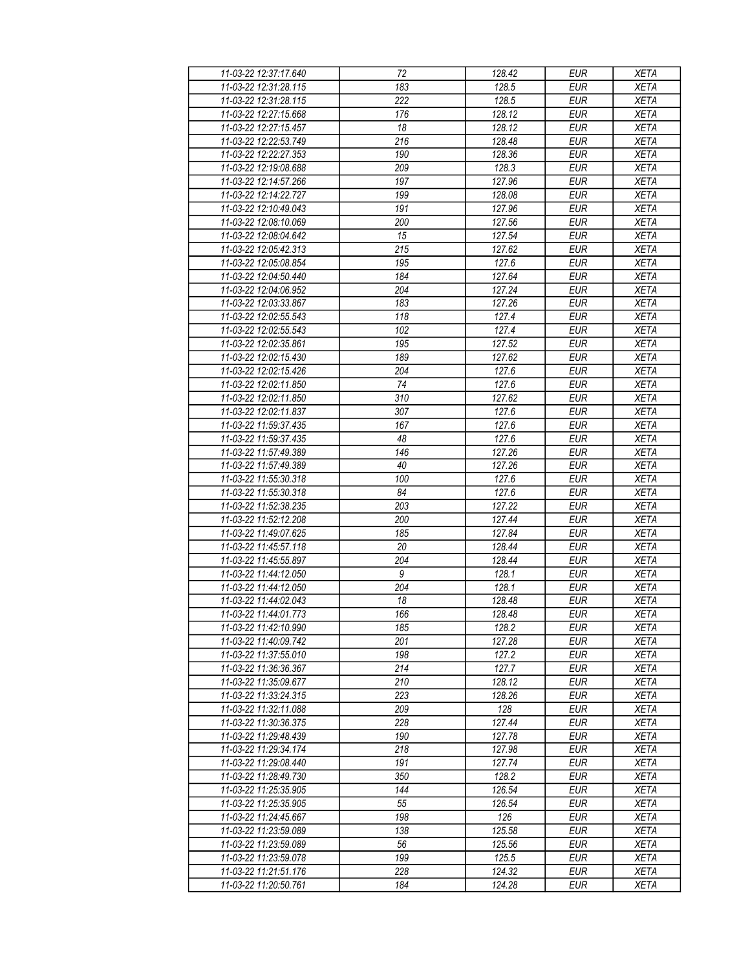| 11-03-22 12:37:17.640                          | 72               | 128.42              | <b>EUR</b>               | <b>XETA</b>                |
|------------------------------------------------|------------------|---------------------|--------------------------|----------------------------|
| 11-03-22 12:31:28.115                          | 183              | 128.5               | <b>EUR</b>               | <b>XETA</b>                |
| 11-03-22 12:31:28.115                          | 222              | 128.5               | <b>EUR</b>               | <b>XETA</b>                |
| 11-03-22 12:27:15.668                          | 176              | 128.12              | <b>EUR</b>               | <b>XETA</b>                |
| 11-03-22 12:27:15.457                          | 18               | 128.12              | <b>EUR</b>               | <b>XETA</b>                |
| 11-03-22 12:22:53.749                          | 216              | 128.48              | <b>EUR</b>               | <b>XETA</b>                |
| 11-03-22 12:22:27.353                          | 190              | 128.36              | <b>EUR</b>               | <b>XETA</b>                |
| 11-03-22 12:19:08.688                          | 209              | 128.3               | <b>EUR</b>               | <b>XETA</b>                |
| 11-03-22 12:14:57.266                          | 197              | 127.96              | <b>EUR</b>               | <b>XETA</b>                |
| 11-03-22 12:14:22.727                          | 199              | 128.08              | EUR                      | <b>XETA</b>                |
| 11-03-22 12:10:49.043                          | 191              | 127.96              | <b>EUR</b>               | <b>XETA</b>                |
| 11-03-22 12:08:10.069                          | 200              | 127.56              | <b>EUR</b>               | <b>XETA</b>                |
| 11-03-22 12:08:04.642                          | 15               | 127.54              | <b>EUR</b>               | <b>XETA</b>                |
| 11-03-22 12:05:42.313                          | 215              | 127.62              | <b>EUR</b>               | <b>XETA</b>                |
| 11-03-22 12:05:08.854                          | $\overline{195}$ | 127.6               | <b>EUR</b>               | <b>XETA</b>                |
| 11-03-22 12:04:50.440                          | 184              | 127.64              | <b>EUR</b>               | <b>XETA</b>                |
| 11-03-22 12:04:06.952                          | 204              | 127.24              | <b>EUR</b>               | <b>XETA</b>                |
| 11-03-22 12:03:33.867                          | 183              | 127.26              | <b>EUR</b>               | <b>XETA</b>                |
| 11-03-22 12:02:55.543                          | 118              | 127.4               | <b>EUR</b>               | <b>XETA</b>                |
| 11-03-22 12:02:55.543                          | 102              | 127.4               | <b>EUR</b>               | <b>XETA</b>                |
| 11-03-22 12:02:35.861                          | 195              | 127.52              | <b>EUR</b>               | <b>XETA</b>                |
| 11-03-22 12:02:15.430                          | 189              | 127.62              | <b>EUR</b>               | <b>XETA</b>                |
| 11-03-22 12:02:15.426                          | 204              | 127.6               | <b>EUR</b>               | <b>XETA</b>                |
| 11-03-22 12:02:11.850                          | 74               | 127.6               | <b>EUR</b>               | <b>XETA</b>                |
| 11-03-22 12:02:11.850                          | 310              | 127.62              | <b>EUR</b>               | <b>XETA</b>                |
| 11-03-22 12:02:11.837                          | $\overline{307}$ | 127.6               | <b>EUR</b>               | <b>XETA</b>                |
| 11-03-22 11:59:37.435                          | 167              | 127.6               | <b>EUR</b>               | <b>XETA</b>                |
| 11-03-22 11:59:37.435                          | 48               | 127.6               | <b>EUR</b>               | <b>XETA</b>                |
| 11-03-22 11:57:49.389                          | 146              | 127.26              | <b>EUR</b>               | <b>XETA</b>                |
| 11-03-22 11:57:49.389                          | 40               | 127.26              | <b>EUR</b>               | <b>XETA</b>                |
|                                                |                  |                     |                          |                            |
| 11-03-22 11:55:30.318<br>11-03-22 11:55:30.318 | 100<br>84        | 127.6<br>127.6      | <b>EUR</b><br><b>EUR</b> | <b>XETA</b><br><b>XETA</b> |
| 11-03-22 11:52:38.235                          | 203              | 127.22              | <b>EUR</b>               | <b>XETA</b>                |
| 11-03-22 11:52:12.208                          | 200              | 127.44              | <b>EUR</b>               | <b>XETA</b>                |
| 11-03-22 11:49:07.625                          | 185              | 127.84              | <b>EUR</b>               | <b>XETA</b>                |
| 11-03-22 11:45:57.118                          | 20               | 128.44              | <b>EUR</b>               | <b>XETA</b>                |
| 11-03-22 11:45:55.897                          | 204              | 128.44              | <b>EUR</b>               | <b>XETA</b>                |
| 11-03-22 11:44:12.050                          | 9                | 128.1               | <b>EUR</b>               |                            |
| 11-03-22 11:44:12.050                          | 204              | 128.1               | <b>EUR</b>               | <b>XETA</b><br><b>XETA</b> |
| 11-03-22 11:44:02.043                          | $\overline{18}$  | 128.48              | <b>EUR</b>               | <b>XETA</b>                |
| 11-03-22 11:44:01.773                          | 166              | 128.48              | EUR                      | <b>XETA</b>                |
| 11-03-22 11:42:10.990                          | 185              | 128.2               | <b>EUR</b>               | <b>XETA</b>                |
| 11-03-22 11:40:09.742                          | 201              | 127.28              | <b>EUR</b>               | <b>XETA</b>                |
| 11-03-22 11:37:55.010                          | 198              | 127.2               | <b>EUR</b>               |                            |
|                                                | 214              | 127.7               | <b>EUR</b>               | <b>XETA</b>                |
| 11-03-22 11:36:36.367<br>11-03-22 11:35:09.677 | 210              | 128.12              | <b>EUR</b>               | <b>XETA</b><br><b>XETA</b> |
| 11-03-22 11:33:24.315                          | 223              | 128.26              | <b>EUR</b>               | <b>XETA</b>                |
| 11-03-22 11:32:11.088                          |                  | 128                 |                          | <b>XETA</b>                |
| 11-03-22 11:30:36.375                          | 209<br>228       | 127.44              | <b>EUR</b><br><b>EUR</b> | <b>XETA</b>                |
|                                                |                  |                     |                          |                            |
| 11-03-22 11:29:48.439                          | 190<br>218       | 127.78<br>127.98    | <b>EUR</b><br><b>EUR</b> | <b>XETA</b>                |
| 11-03-22 11:29:34.174                          |                  |                     |                          | <b>XETA</b>                |
| 11-03-22 11:29:08.440                          | 191              | 127.74              | <b>EUR</b>               | <b>XETA</b>                |
| 11-03-22 11:28:49.730                          | 350              | 128.2               | <b>EUR</b>               | <b>XETA</b>                |
| 11-03-22 11:25:35.905                          | 144              | 126.54              | <b>EUR</b>               | <b>XETA</b>                |
| 11-03-22 11:25:35.905                          | 55               | 126.54              | <b>EUR</b>               | <b>XETA</b>                |
| 11-03-22 11:24:45.667                          | 198              | 126                 | <b>EUR</b>               | <b>XETA</b>                |
| 11-03-22 11:23:59.089                          | 138              | 125.58              | <b>EUR</b>               | <b>XETA</b>                |
| 11-03-22 11:23:59.089                          | 56               | $\overline{125.56}$ | <b>EUR</b>               | <b>XETA</b>                |
| 11-03-22 11:23:59.078                          | 199              | 125.5               | <b>EUR</b>               | <b>XETA</b>                |
| 11-03-22 11:21:51.176                          | 228              | 124.32              | <b>EUR</b>               | <b>XETA</b>                |
| 11-03-22 11:20:50.761                          | 184              | 124.28              | <b>EUR</b>               | <b>XETA</b>                |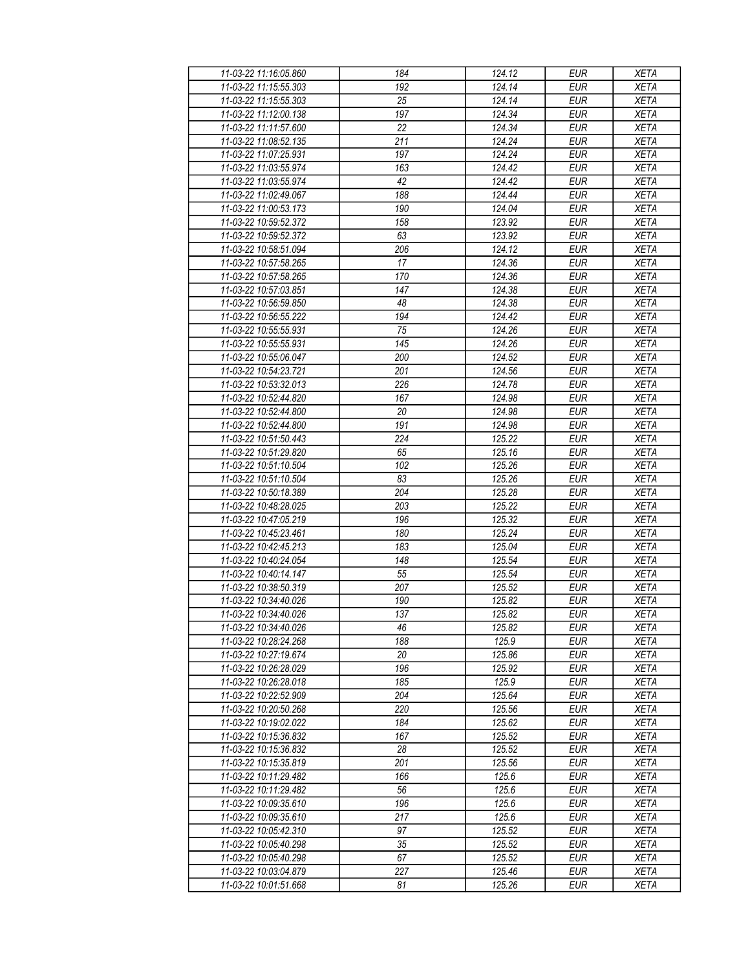| 11-03-22 11:16:05.860 | 184             | 124.12 | <b>EUR</b> | <b>XETA</b> |
|-----------------------|-----------------|--------|------------|-------------|
| 11-03-22 11:15:55.303 | 192             | 124.14 | <b>EUR</b> | <b>XETA</b> |
| 11-03-22 11:15:55.303 | $\overline{25}$ | 124.14 | <b>EUR</b> | <b>XETA</b> |
| 11-03-22 11:12:00.138 | 197             | 124.34 | <b>EUR</b> | <b>XETA</b> |
| 11-03-22 11:11:57.600 | 22              | 124.34 | <b>EUR</b> | <b>XETA</b> |
| 11-03-22 11:08:52.135 | 211             | 124.24 | <b>EUR</b> | <b>XETA</b> |
| 11-03-22 11:07:25.931 | 197             | 124.24 | <b>EUR</b> | <b>XETA</b> |
| 11-03-22 11:03:55.974 | 163             | 124.42 | <b>EUR</b> | <b>XETA</b> |
| 11-03-22 11:03:55.974 | 42              | 124.42 | <b>EUR</b> | <b>XETA</b> |
| 11-03-22 11:02:49.067 | 188             | 124.44 | EUR        | <b>XETA</b> |
| 11-03-22 11:00:53.173 | 190             | 124.04 | <b>EUR</b> | <b>XETA</b> |
| 11-03-22 10:59:52.372 | 158             | 123.92 | <b>EUR</b> | <b>XETA</b> |
| 11-03-22 10:59:52.372 | 63              | 123.92 | <b>EUR</b> | <b>XETA</b> |
| 11-03-22 10:58:51.094 | 206             | 124.12 | <b>EUR</b> | <b>XETA</b> |
| 11-03-22 10:57:58.265 | 17              | 124.36 | <b>EUR</b> | <b>XETA</b> |
| 11-03-22 10:57:58.265 | 170             | 124.36 | <b>EUR</b> | <b>XETA</b> |
| 11-03-22 10:57:03.851 | 147             | 124.38 | <b>EUR</b> | <b>XETA</b> |
| 11-03-22 10:56:59.850 | 48              | 124.38 | <b>EUR</b> | <b>XETA</b> |
| 11-03-22 10:56:55.222 | 194             | 124.42 | <b>EUR</b> | <b>XETA</b> |
| 11-03-22 10:55:55.931 | 75              | 124.26 | <b>EUR</b> | <b>XETA</b> |
| 11-03-22 10:55:55.931 |                 | 124.26 | <b>EUR</b> |             |
|                       | 145             |        |            | <b>XETA</b> |
| 11-03-22 10:55:06.047 | 200             | 124.52 | <b>EUR</b> | <b>XETA</b> |
| 11-03-22 10:54:23.721 | 201             | 124.56 | <b>EUR</b> | <b>XETA</b> |
| 11-03-22 10:53:32.013 | 226             | 124.78 | <b>EUR</b> | <b>XETA</b> |
| 11-03-22 10:52:44.820 | 167             | 124.98 | <b>EUR</b> | <b>XETA</b> |
| 11-03-22 10:52:44.800 | 20              | 124.98 | <b>EUR</b> | <b>XETA</b> |
| 11-03-22 10:52:44.800 | 191             | 124.98 | <b>EUR</b> | <b>XETA</b> |
| 11-03-22 10:51:50.443 | 224             | 125.22 | <b>EUR</b> | <b>XETA</b> |
| 11-03-22 10:51:29.820 | 65              | 125.16 | <b>EUR</b> | <b>XETA</b> |
| 11-03-22 10:51:10.504 | 102             | 125.26 | <b>EUR</b> | <b>XETA</b> |
| 11-03-22 10:51:10.504 | 83              | 125.26 | <b>EUR</b> | <b>XETA</b> |
| 11-03-22 10:50:18.389 | 204             | 125.28 | <b>EUR</b> | <b>XETA</b> |
| 11-03-22 10:48:28.025 | 203             | 125.22 | <b>EUR</b> | <b>XETA</b> |
| 11-03-22 10:47:05.219 | 196             | 125.32 | <b>EUR</b> | <b>XETA</b> |
| 11-03-22 10:45:23.461 | 180             | 125.24 | EUR        | <b>XETA</b> |
| 11-03-22 10:42:45.213 | 183             | 125.04 | <b>EUR</b> | <b>XETA</b> |
| 11-03-22 10:40:24.054 | 148             | 125.54 | <b>EUR</b> | <b>XETA</b> |
| 11-03-22 10:40:14.147 | 55              | 125.54 | <b>EUR</b> | <b>XETA</b> |
| 11-03-22 10:38:50.319 | 207             | 125.52 | <b>EUR</b> | <b>XETA</b> |
| 11-03-22 10:34:40.026 | 190             | 125.82 | <b>EUR</b> | <b>XETA</b> |
| 11-03-22 10:34:40.026 | 137             | 125.82 | EUR        | <b>XETA</b> |
| 11-03-22 10:34:40.026 | 46              | 125.82 | <b>EUR</b> | <b>XETA</b> |
| 11-03-22 10:28:24.268 | 188             | 125.9  | <b>EUR</b> | <b>XETA</b> |
| 11-03-22 10:27:19.674 | 20              | 125.86 | <b>EUR</b> | <b>XETA</b> |
| 11-03-22 10:26:28.029 | 196             | 125.92 | <b>EUR</b> | <b>XETA</b> |
| 11-03-22 10:26:28.018 | 185             | 125.9  | <b>EUR</b> | <b>XETA</b> |
| 11-03-22 10:22:52.909 | 204             | 125.64 | <b>EUR</b> | <b>XETA</b> |
| 11-03-22 10:20:50.268 | 220             | 125.56 | <b>EUR</b> | <b>XETA</b> |
| 11-03-22 10:19:02.022 | 184             | 125.62 | <b>EUR</b> | <b>XETA</b> |
| 11-03-22 10:15:36.832 | 167             | 125.52 | <b>EUR</b> | <b>XETA</b> |
| 11-03-22 10:15:36.832 | 28              | 125.52 | <b>EUR</b> | <b>XETA</b> |
| 11-03-22 10:15:35.819 | 201             | 125.56 | <b>EUR</b> | <b>XETA</b> |
| 11-03-22 10:11:29.482 | 166             | 125.6  | <b>EUR</b> | <b>XETA</b> |
| 11-03-22 10:11:29.482 | 56              | 125.6  | <b>EUR</b> | <b>XETA</b> |
| 11-03-22 10:09:35.610 | 196             | 125.6  | <b>EUR</b> | <b>XETA</b> |
| 11-03-22 10:09:35.610 | 217             | 125.6  | <b>EUR</b> | <b>XETA</b> |
| 11-03-22 10:05:42.310 | 97              | 125.52 | <b>EUR</b> | <b>XETA</b> |
| 11-03-22 10:05:40.298 | $\overline{35}$ | 125.52 | <b>EUR</b> | <b>XETA</b> |
| 11-03-22 10:05:40.298 | 67              | 125.52 | <b>EUR</b> | <b>XETA</b> |
| 11-03-22 10:03:04.879 | 227             | 125.46 | <b>EUR</b> | <b>XETA</b> |
| 11-03-22 10:01:51.668 | 81              | 125.26 | <b>EUR</b> | <b>XETA</b> |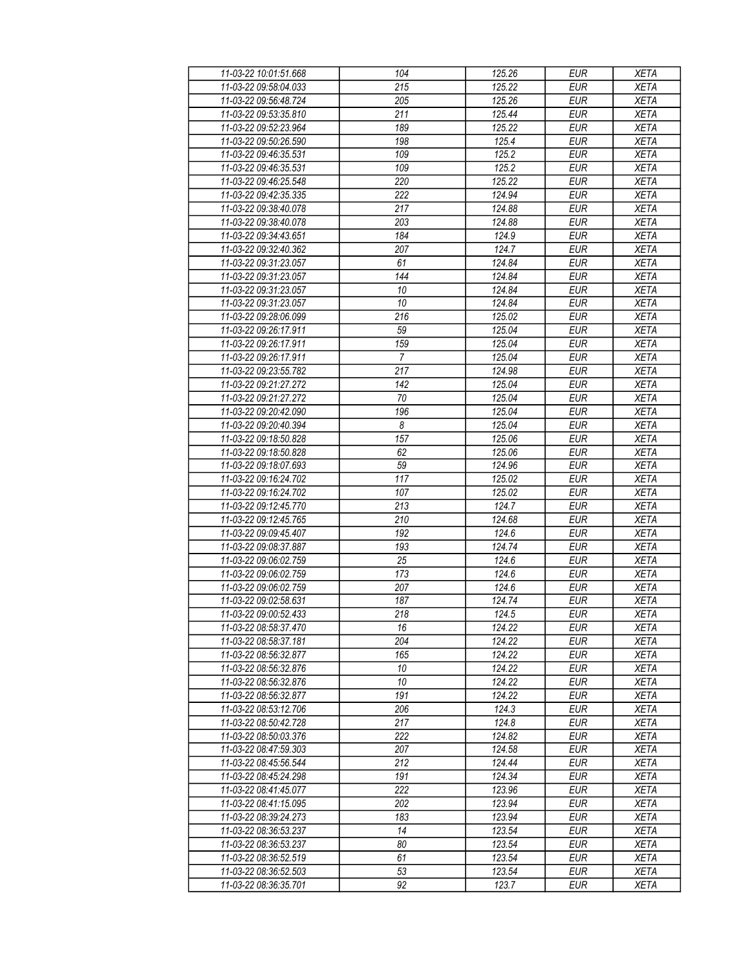| 11-03-22 10:01:51.668                          | 104                   | 125.26           | <b>EUR</b>               | <b>XETA</b>                |
|------------------------------------------------|-----------------------|------------------|--------------------------|----------------------------|
| 11-03-22 09:58:04.033                          | 215                   | 125.22           | <b>EUR</b>               | <b>XETA</b>                |
| 11-03-22 09:56:48.724                          | 205                   | 125.26           | <b>EUR</b>               | <b>XETA</b>                |
| 11-03-22 09:53:35.810                          | 211                   | 125.44           | <b>EUR</b>               | <b>XETA</b>                |
| 11-03-22 09:52:23.964                          | 189                   | 125.22           | <b>EUR</b>               | <b>XETA</b>                |
| 11-03-22 09:50:26.590                          | 198                   | 125.4            | <b>EUR</b>               | <b>XETA</b>                |
| 11-03-22 09:46:35.531                          | 109                   | 125.2            | <b>EUR</b>               | <b>XETA</b>                |
| 11-03-22 09:46:35.531                          | 109                   | 125.2            | <b>EUR</b>               | <b>XETA</b>                |
| 11-03-22 09:46:25.548                          | 220                   | 125.22           | <b>EUR</b>               | <b>XETA</b>                |
| 11-03-22 09:42:35.335                          | 222                   | 124.94           | EUR                      | <b>XETA</b>                |
| 11-03-22 09:38:40.078                          | 217                   | 124.88           | <b>EUR</b>               | <b>XETA</b>                |
| 11-03-22 09:38:40.078                          | 203                   | 124.88           | <b>EUR</b>               | <b>XETA</b>                |
| 11-03-22 09:34:43.651                          | 184                   | 124.9            | <b>EUR</b>               | <b>XETA</b>                |
| 11-03-22 09:32:40.362                          | 207                   | 124.7            | <b>EUR</b>               | <b>XETA</b>                |
| 11-03-22 09:31:23.057                          | 61                    | 124.84           | <b>EUR</b>               | <b>XETA</b>                |
| 11-03-22 09:31:23.057                          | 144                   | 124.84           | <b>EUR</b>               | <b>XETA</b>                |
| 11-03-22 09:31:23.057                          | 10                    | 124.84           | <b>EUR</b>               | <b>XETA</b>                |
| 11-03-22 09:31:23.057                          | 10                    | 124.84           | <b>EUR</b>               | <b>XETA</b>                |
| 11-03-22 09:28:06.099                          | 216                   | 125.02           | <b>EUR</b>               | <b>XETA</b>                |
| 11-03-22 09:26:17.911                          | 59                    | 125.04           | <b>EUR</b>               | <b>XETA</b>                |
| 11-03-22 09:26:17.911                          | 159                   | 125.04           | <b>EUR</b>               | <b>XETA</b>                |
|                                                |                       |                  |                          |                            |
| 11-03-22 09:26:17.911<br>11-03-22 09:23:55.782 | $\overline{7}$<br>217 | 125.04<br>124.98 | <b>EUR</b><br><b>EUR</b> | <b>XETA</b><br><b>XETA</b> |
| 11-03-22 09:21:27.272                          | 142                   |                  |                          |                            |
|                                                |                       | 125.04           | <b>EUR</b>               | <b>XETA</b>                |
| 11-03-22 09:21:27.272                          | 70                    | 125.04           | <b>EUR</b>               | <b>XETA</b>                |
| 11-03-22 09:20:42.090                          | 196                   | 125.04           | <b>EUR</b>               | <b>XETA</b>                |
| 11-03-22 09:20:40.394                          | 8                     | 125.04           | <b>EUR</b>               | <b>XETA</b>                |
| 11-03-22 09:18:50.828                          | 157                   | 125.06           | <b>EUR</b>               | <b>XETA</b>                |
| 11-03-22 09:18:50.828                          | 62                    | 125.06           | <b>EUR</b>               | <b>XETA</b>                |
| 11-03-22 09:18:07.693                          | 59                    | 124.96           | <b>EUR</b>               | <b>XETA</b>                |
| 11-03-22 09:16:24.702                          | 117                   | 125.02           | <b>EUR</b>               | <b>XETA</b>                |
| 11-03-22 09:16:24.702                          | 107                   | 125.02           | <b>EUR</b>               | <b>XETA</b>                |
| 11-03-22 09:12:45.770                          | 213                   | 124.7            | <b>EUR</b>               | <b>XETA</b>                |
| 11-03-22 09:12:45.765                          | 210                   | 124.68           | <b>EUR</b>               | <b>XETA</b>                |
| 11-03-22 09:09:45.407                          | 192                   | 124.6            | <b>EUR</b>               | <b>XETA</b>                |
| 11-03-22 09:08:37.887                          | 193                   | 124.74           | <b>EUR</b>               | <b>XETA</b>                |
| 11-03-22 09:06:02.759                          | 25                    | 124.6            | <b>EUR</b>               | <b>XETA</b>                |
| 11-03-22 09:06:02.759                          | 173                   | 124.6            | <b>EUR</b>               | <b>XETA</b>                |
| 11-03-22 09:06:02.759                          | 207                   | 124.6            | <b>EUR</b>               | <b>XETA</b>                |
| 11-03-22 09:02:58.631                          | 187                   | 124.74           | <b>EUR</b>               | <b>XETA</b>                |
| 11-03-22 09:00:52.433                          | $\overline{218}$      | 124.5            | EUR                      | <b>XETA</b>                |
| 11-03-22 08:58:37.470                          | 16                    | 124.22           | <b>EUR</b>               | <b>XETA</b>                |
| 11-03-22 08:58:37.181                          | 204                   | 124.22           | <b>EUR</b>               | <b>XETA</b>                |
| 11-03-22 08:56:32.877                          | 165                   | 124.22           | <b>EUR</b>               | <b>XETA</b>                |
| 11-03-22 08:56:32.876                          | 10                    | 124.22           | <b>EUR</b>               | <b>XETA</b>                |
| 11-03-22 08:56:32.876                          | 10                    | 124.22           | <b>EUR</b>               | <b>XETA</b>                |
| 11-03-22 08:56:32.877                          | 191                   | 124.22           | <b>EUR</b>               | <b>XETA</b>                |
| 11-03-22 08:53:12.706                          | 206                   | 124.3            | <b>EUR</b>               | <b>XETA</b>                |
| 11-03-22 08:50:42.728                          | 217                   | 124.8            | <b>EUR</b>               | <b>XETA</b>                |
| 11-03-22 08:50:03.376                          | 222                   | 124.82           | <b>EUR</b>               | <b>XETA</b>                |
| 11-03-22 08:47:59.303                          | 207                   | 124.58           | <b>EUR</b>               | <b>XETA</b>                |
| 11-03-22 08:45:56.544                          | 212                   | 124.44           | <b>EUR</b>               | <b>XETA</b>                |
| 11-03-22 08:45:24.298                          | 191                   | 124.34           | <b>EUR</b>               | <b>XETA</b>                |
| 11-03-22 08:41:45.077                          | 222                   | 123.96           | <b>EUR</b>               | <b>XETA</b>                |
| 11-03-22 08:41:15.095                          | 202                   | 123.94           | <b>EUR</b>               | <b>XETA</b>                |
| 11-03-22 08:39:24.273                          | 183                   | 123.94           | <b>EUR</b>               | <b>XETA</b>                |
| 11-03-22 08:36:53.237                          | 14                    | 123.54           | <b>EUR</b>               | <b>XETA</b>                |
| 11-03-22 08:36:53.237                          | 80                    | 123.54           | <b>EUR</b>               | <b>XETA</b>                |
| 11-03-22 08:36:52.519                          | 61                    | 123.54           | <b>EUR</b>               | <b>XETA</b>                |
| 11-03-22 08:36:52.503                          | 53                    | 123.54           | <b>EUR</b>               | <b>XETA</b>                |
| 11-03-22 08:36:35.701                          | 92                    | 123.7            | <b>EUR</b>               | <b>XETA</b>                |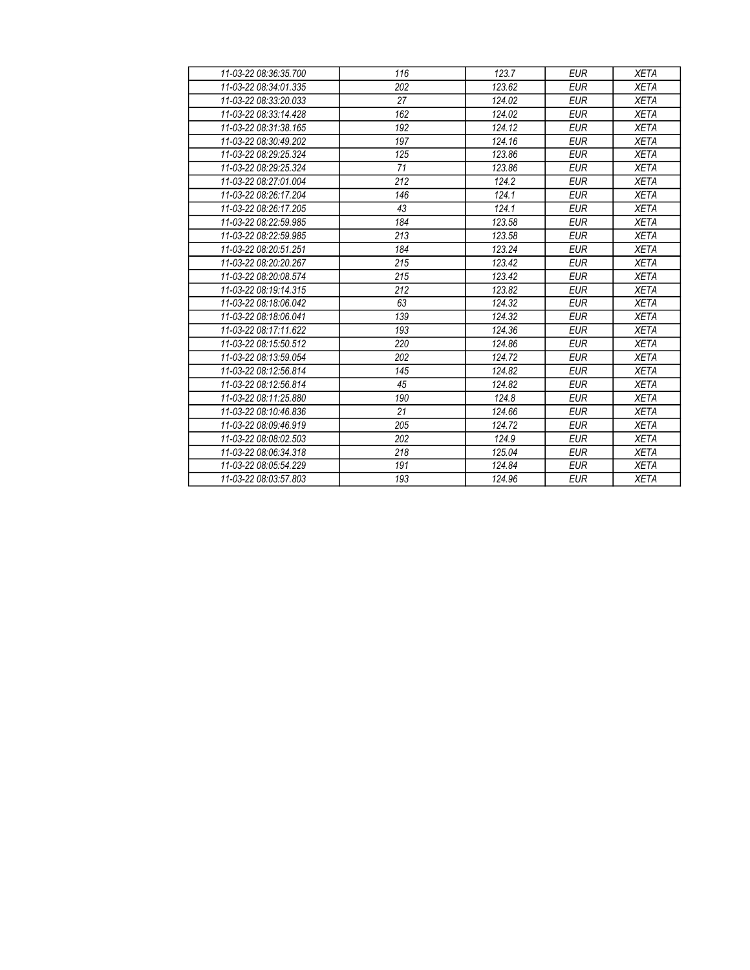| 11-03-22 08:36:35.700 | 116 | 123.7  | <b>EUR</b> | <b>XETA</b> |
|-----------------------|-----|--------|------------|-------------|
| 11-03-22 08:34:01.335 | 202 | 123.62 | <b>EUR</b> | <b>XETA</b> |
| 11-03-22 08:33:20.033 | 27  | 124.02 | <b>EUR</b> | <b>XETA</b> |
| 11-03-22 08:33:14.428 | 162 | 124.02 | <b>EUR</b> | <b>XETA</b> |
| 11-03-22 08:31:38.165 | 192 | 124.12 | <b>EUR</b> | <b>XETA</b> |
| 11-03-22 08:30:49.202 | 197 | 124.16 | <b>EUR</b> | <b>XETA</b> |
| 11-03-22 08:29:25.324 | 125 | 123.86 | <b>EUR</b> | <b>XETA</b> |
| 11-03-22 08:29:25.324 | 71  | 123.86 | <b>EUR</b> | <b>XETA</b> |
| 11-03-22 08:27:01.004 | 212 | 124.2  | <b>EUR</b> | <b>XETA</b> |
| 11-03-22 08:26:17.204 | 146 | 124.1  | <b>EUR</b> | <b>XETA</b> |
| 11-03-22 08:26:17.205 | 43  | 124.1  | <b>EUR</b> | <b>XETA</b> |
| 11-03-22 08:22:59.985 | 184 | 123.58 | <b>EUR</b> | <b>XETA</b> |
| 11-03-22 08:22:59.985 | 213 | 123.58 | <b>EUR</b> | <b>XETA</b> |
| 11-03-22 08:20:51.251 | 184 | 123.24 | <b>EUR</b> | <b>XETA</b> |
| 11-03-22 08:20:20.267 | 215 | 123.42 | <b>EUR</b> | <b>XETA</b> |
| 11-03-22 08:20:08.574 | 215 | 123.42 | <b>EUR</b> | <b>XETA</b> |
| 11-03-22 08:19:14.315 | 212 | 123.82 | <b>EUR</b> | <b>XETA</b> |
| 11-03-22 08:18:06.042 | 63  | 124.32 | <b>EUR</b> | <b>XETA</b> |
| 11-03-22 08:18:06.041 | 139 | 124.32 | <b>EUR</b> | <b>XETA</b> |
| 11-03-22 08:17:11.622 | 193 | 124.36 | <b>EUR</b> | <b>XETA</b> |
| 11-03-22 08:15:50.512 | 220 | 124.86 | <b>EUR</b> | <b>XETA</b> |
| 11-03-22 08:13:59.054 | 202 | 124.72 | <b>EUR</b> | <b>XETA</b> |
| 11-03-22 08:12:56.814 | 145 | 124.82 | <b>EUR</b> | <b>XETA</b> |
| 11-03-22 08:12:56.814 | 45  | 124.82 | <b>EUR</b> | <b>XETA</b> |
| 11-03-22 08:11:25.880 | 190 | 124.8  | <b>EUR</b> | <b>XETA</b> |
| 11-03-22 08:10:46.836 | 21  | 124.66 | <b>EUR</b> | <b>XETA</b> |
| 11-03-22 08:09:46.919 | 205 | 124.72 | <b>EUR</b> | <b>XETA</b> |
| 11-03-22 08:08:02.503 | 202 | 124.9  | <b>EUR</b> | <b>XETA</b> |
| 11-03-22 08:06:34.318 | 218 | 125.04 | <b>EUR</b> | <b>XETA</b> |
| 11-03-22 08:05:54.229 | 191 | 124.84 | <b>EUR</b> | <b>XETA</b> |
| 11-03-22 08:03:57.803 | 193 | 124.96 | <b>EUR</b> | <b>XETA</b> |
|                       |     |        |            |             |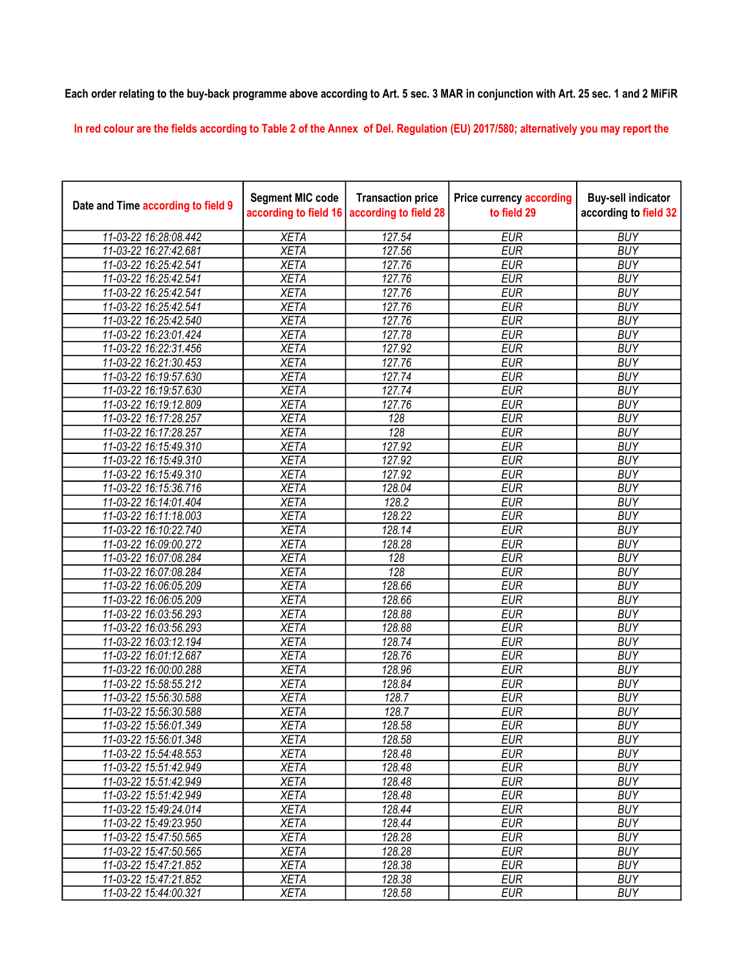## Each order relating to the buy-back programme above according to Art. 5 sec. 3 MAR in conjunction with Art. 25 sec. 1 and 2 MiFiR

In red colour are the fields according to Table 2 of the Annex of Del. Regulation (EU) 2017/580; alternatively you may report the

| Date and Time according to field 9 | <b>Segment MIC code</b><br>according to field 16 | <b>Transaction price</b><br>according to field 28 | <b>Price currency according</b><br>to field 29 | <b>Buy-sell indicator</b><br>according to field 32 |
|------------------------------------|--------------------------------------------------|---------------------------------------------------|------------------------------------------------|----------------------------------------------------|
| 11-03-22 16:28:08.442              | <b>XETA</b>                                      | 127.54                                            | <b>EUR</b>                                     | <b>BUY</b>                                         |
| 11-03-22 16:27:42.681              | <b>XETA</b>                                      | 127.56                                            | <b>EUR</b>                                     | <b>BUY</b>                                         |
| 11-03-22 16:25:42.541              | <b>XETA</b>                                      | 127.76                                            | <b>EUR</b>                                     | <b>BUY</b>                                         |
| 11-03-22 16:25:42.541              | <b>XETA</b>                                      | 127.76                                            | <b>EUR</b>                                     | <b>BUY</b>                                         |
| 11-03-22 16:25:42.541              | <b>XETA</b>                                      | 127.76                                            | <b>EUR</b>                                     | <b>BUY</b>                                         |
| 11-03-22 16:25:42.541              | <b>XETA</b>                                      | 127.76                                            | <b>EUR</b>                                     | <b>BUY</b>                                         |
| 11-03-22 16:25:42.540              | <b>XETA</b>                                      | 127.76                                            | <b>EUR</b>                                     | <b>BUY</b>                                         |
| 11-03-22 16:23:01.424              | <b>XETA</b>                                      | 127.78                                            | <b>EUR</b>                                     | <b>BUY</b>                                         |
| 11-03-22 16:22:31.456              | <b>XETA</b>                                      | 127.92                                            | <b>EUR</b>                                     | <b>BUY</b>                                         |
| 11-03-22 16:21:30.453              | <b>XETA</b>                                      | 127.76                                            | <b>EUR</b>                                     | <b>BUY</b>                                         |
| 11-03-22 16:19:57.630              | <b>XETA</b>                                      | 127.74                                            | <b>EUR</b>                                     | <b>BUY</b>                                         |
| 11-03-22 16:19:57.630              | <b>XETA</b>                                      | 127.74                                            | <b>EUR</b>                                     | <b>BUY</b>                                         |
| 11-03-22 16:19:12.809              | <b>XETA</b>                                      | 127.76                                            | <b>EUR</b>                                     | <b>BUY</b>                                         |
| 11-03-22 16:17:28.257              | <b>XETA</b>                                      | 128                                               | <b>EUR</b>                                     | <b>BUY</b>                                         |
| 11-03-22 16:17:28.257              | <b>XETA</b>                                      | 128                                               | <b>EUR</b>                                     | <b>BUY</b>                                         |
| 11-03-22 16:15:49.310              | <b>XETA</b>                                      | 127.92                                            | <b>EUR</b>                                     | <b>BUY</b>                                         |
| 11-03-22 16:15:49.310              | <b>XETA</b>                                      | 127.92                                            | <b>EUR</b>                                     | <b>BUY</b>                                         |
| 11-03-22 16:15:49.310              | <b>XETA</b>                                      | 127.92                                            | <b>EUR</b>                                     | <b>BUY</b>                                         |
| 11-03-22 16:15:36.716              | <b>XETA</b>                                      | 128.04                                            | <b>EUR</b>                                     | <b>BUY</b>                                         |
| 11-03-22 16:14:01.404              | <b>XETA</b>                                      | 128.2                                             | <b>EUR</b>                                     | <b>BUY</b>                                         |
| 11-03-22 16:11:18.003              | <b>XETA</b>                                      | 128.22                                            | <b>EUR</b>                                     | <b>BUY</b>                                         |
| 11-03-22 16:10:22.740              | <b>XETA</b>                                      | 128.14                                            | <b>EUR</b>                                     | <b>BUY</b>                                         |
| 11-03-22 16:09:00.272              | <b>XETA</b>                                      | 128.28                                            | <b>EUR</b>                                     | <b>BUY</b>                                         |
| 11-03-22 16:07:08.284              | <b>XETA</b>                                      | 128                                               | <b>EUR</b>                                     | <b>BUY</b>                                         |
| 11-03-22 16:07:08.284              | <b>XETA</b>                                      | 128                                               | <b>EUR</b>                                     | <b>BUY</b>                                         |
| 11-03-22 16:06:05.209              | <b>XETA</b>                                      | 128.66                                            | <b>EUR</b>                                     | <b>BUY</b>                                         |
| 11-03-22 16:06:05.209              | <b>XETA</b>                                      | 128.66                                            | <b>EUR</b>                                     | <b>BUY</b>                                         |
| 11-03-22 16:03:56.293              | <b>XETA</b>                                      | 128.88                                            | <b>EUR</b>                                     | <b>BUY</b>                                         |
| 11-03-22 16:03:56.293              | <b>XETA</b>                                      | 128.88                                            | <b>EUR</b>                                     | <b>BUY</b>                                         |
| 11-03-22 16:03:12.194              | <b>XETA</b>                                      | 128.74                                            | <b>EUR</b>                                     | <b>BUY</b>                                         |
| 11-03-22 16:01:12.687              | <b>XETA</b>                                      | 128.76                                            | <b>EUR</b>                                     | <b>BUY</b>                                         |
| 11-03-22 16:00:00.288              | <b>XETA</b>                                      | 128.96                                            | <b>EUR</b>                                     | <b>BUY</b>                                         |
| 11-03-22 15:58:55.212              | <b>XETA</b>                                      | 128.84                                            | <b>EUR</b>                                     | <b>BUY</b>                                         |
| 11-03-22 15:56:30.588              | <b>XETA</b>                                      | 128.7                                             | <b>EUR</b>                                     | <b>BUY</b>                                         |
| 11-03-22 15:56:30.588              | <b>XETA</b>                                      | 128.7                                             | <b>EUR</b>                                     | <b>BUY</b>                                         |
| 11-03-22 15:56:01.349              | <b>XETA</b>                                      | 128.58                                            | <b>EUR</b>                                     | <b>BUY</b>                                         |
| 11-03-22 15:56:01.348              | <b>XETA</b>                                      | 128.58                                            | <b>EUR</b>                                     | <b>BUY</b>                                         |
| 11-03-22 15:54:48.553              | <b>XETA</b>                                      | 128.48                                            | <b>EUR</b>                                     | <b>BUY</b>                                         |
| 11-03-22 15:51:42.949              | <b>XETA</b>                                      | 128.48                                            | <b>EUR</b>                                     | <b>BUY</b>                                         |
| 11-03-22 15:51:42.949              | <b>XETA</b>                                      | 128.48                                            | <b>EUR</b>                                     | <b>BUY</b>                                         |
| 11-03-22 15:51:42.949              | <b>XETA</b>                                      | 128.48                                            | <b>EUR</b>                                     | <b>BUY</b>                                         |
| 11-03-22 15:49:24.014              | <b>XETA</b>                                      | 128.44                                            | <b>EUR</b>                                     | <b>BUY</b>                                         |
| 11-03-22 15:49:23.950              | <b>XETA</b>                                      | 128.44                                            | <b>EUR</b>                                     | <b>BUY</b>                                         |
| 11-03-22 15:47:50.565              | <b>XETA</b>                                      | 128.28                                            | <b>EUR</b>                                     | <b>BUY</b>                                         |
| 11-03-22 15:47:50.565              | <b>XETA</b>                                      | 128.28                                            | <b>EUR</b>                                     | <b>BUY</b>                                         |
| 11-03-22 15:47:21.852              | <b>XETA</b>                                      | 128.38                                            | <b>EUR</b>                                     | <b>BUY</b>                                         |
| 11-03-22 15:47:21.852              | <b>XETA</b>                                      | 128.38                                            | <b>EUR</b>                                     | <b>BUY</b>                                         |
| 11-03-22 15:44:00.321              | <b>XETA</b>                                      | 128.58                                            | <b>EUR</b>                                     | <b>BUY</b>                                         |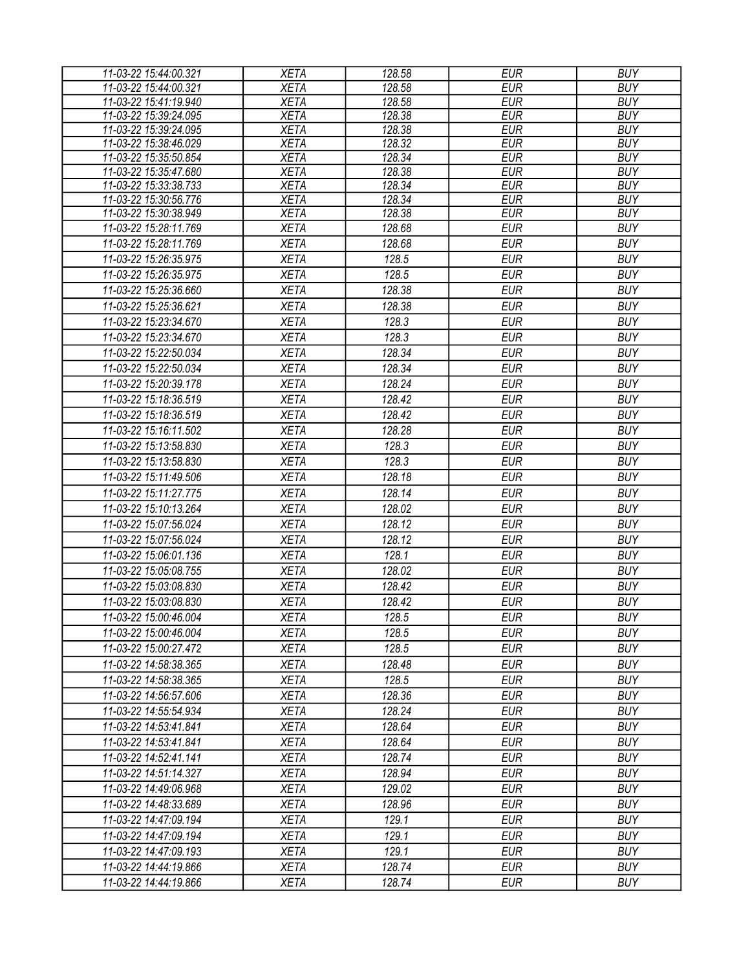| 11-03-22 15:44:00.321 | <b>XETA</b> | 128.58 | <b>EUR</b> | <b>BUY</b> |
|-----------------------|-------------|--------|------------|------------|
| 11-03-22 15:44:00.321 | <b>XETA</b> | 128.58 | <b>EUR</b> | <b>BUY</b> |
| 11-03-22 15:41:19.940 | <b>XETA</b> | 128.58 | <b>EUR</b> | <b>BUY</b> |
| 11-03-22 15:39:24.095 | <b>XETA</b> | 128.38 | <b>EUR</b> | <b>BUY</b> |
| 11-03-22 15:39:24.095 | <b>XETA</b> | 128.38 | <b>EUR</b> | <b>BUY</b> |
| 11-03-22 15:38:46.029 | <b>XETA</b> | 128.32 | <b>EUR</b> | <b>BUY</b> |
| 11-03-22 15:35:50.854 | <b>XETA</b> | 128.34 | <b>EUR</b> | <b>BUY</b> |
| 11-03-22 15:35:47.680 | <b>XETA</b> | 128.38 | <b>EUR</b> | <b>BUY</b> |
| 11-03-22 15:33:38.733 | <b>XETA</b> | 128.34 | <b>EUR</b> | <b>BUY</b> |
| 11-03-22 15:30:56.776 | <b>XETA</b> | 128.34 | <b>EUR</b> | <b>BUY</b> |
| 11-03-22 15:30:38.949 | <b>XETA</b> | 128.38 | <b>EUR</b> | <b>BUY</b> |
| 11-03-22 15:28:11.769 | <b>XETA</b> | 128.68 | <b>EUR</b> | <b>BUY</b> |
| 11-03-22 15:28:11.769 | <b>XETA</b> | 128.68 | <b>EUR</b> | <b>BUY</b> |
| 11-03-22 15:26:35.975 | <b>XETA</b> | 128.5  | <b>EUR</b> | <b>BUY</b> |
| 11-03-22 15:26:35.975 | <b>XETA</b> | 128.5  | <b>EUR</b> | <b>BUY</b> |
| 11-03-22 15:25:36.660 | <b>XETA</b> | 128.38 | <b>EUR</b> | <b>BUY</b> |
| 11-03-22 15:25:36.621 | <b>XETA</b> | 128.38 | <b>EUR</b> | <b>BUY</b> |
| 11-03-22 15:23:34.670 | <b>XETA</b> | 128.3  | <b>EUR</b> | <b>BUY</b> |
| 11-03-22 15:23:34.670 | <b>XETA</b> | 128.3  | <b>EUR</b> | <b>BUY</b> |
| 11-03-22 15:22:50.034 | <b>XETA</b> | 128.34 | <b>EUR</b> | <b>BUY</b> |
| 11-03-22 15:22:50.034 | <b>XETA</b> | 128.34 | <b>EUR</b> | <b>BUY</b> |
| 11-03-22 15:20:39.178 | <b>XETA</b> | 128.24 | <b>EUR</b> | <b>BUY</b> |
| 11-03-22 15:18:36.519 | <b>XETA</b> | 128.42 | <b>EUR</b> | <b>BUY</b> |
| 11-03-22 15:18:36.519 | <b>XETA</b> | 128.42 | <b>EUR</b> | <b>BUY</b> |
| 11-03-22 15:16:11.502 | <b>XETA</b> | 128.28 | <b>EUR</b> | <b>BUY</b> |
| 11-03-22 15:13:58.830 | <b>XETA</b> | 128.3  | <b>EUR</b> | <b>BUY</b> |
| 11-03-22 15:13:58.830 | <b>XETA</b> | 128.3  | <b>EUR</b> | <b>BUY</b> |
| 11-03-22 15:11:49.506 | <b>XETA</b> | 128.18 | <b>EUR</b> | <b>BUY</b> |
| 11-03-22 15:11:27.775 | <b>XETA</b> | 128.14 | <b>EUR</b> | <b>BUY</b> |
| 11-03-22 15:10:13.264 |             | 128.02 | <b>EUR</b> | <b>BUY</b> |
|                       | <b>XETA</b> |        |            |            |
| 11-03-22 15:07:56.024 | <b>XETA</b> | 128.12 | <b>EUR</b> | <b>BUY</b> |
| 11-03-22 15:07:56.024 | <b>XETA</b> | 128.12 | <b>EUR</b> | <b>BUY</b> |
| 11-03-22 15:06:01.136 | <b>XETA</b> | 128.1  | <b>EUR</b> | <b>BUY</b> |
| 11-03-22 15:05:08.755 | <b>XETA</b> | 128.02 | <b>EUR</b> | <b>BUY</b> |
| 11-03-22 15:03:08.830 | <b>XETA</b> | 128.42 | <b>EUR</b> | <b>BUY</b> |
| 11-03-22 15:03:08.830 | <b>XETA</b> | 128.42 | <b>EUR</b> | <b>BUY</b> |
| 11-03-22 15:00:46.004 | <b>XETA</b> | 128.5  | <b>EUR</b> | <b>BUY</b> |
| 11-03-22 15:00:46.004 | <b>XETA</b> | 128.5  | EUR        | <b>BUY</b> |
| 11-03-22 15:00:27.472 | <b>XETA</b> | 128.5  | EUR        | <b>BUY</b> |
| 11-03-22 14:58:38.365 | <b>XETA</b> | 128.48 | <b>EUR</b> | <b>BUY</b> |
| 11-03-22 14:58:38.365 | <b>XETA</b> | 128.5  | <b>EUR</b> | <b>BUY</b> |
| 11-03-22 14:56:57.606 | <b>XETA</b> | 128.36 | <b>EUR</b> | <b>BUY</b> |
| 11-03-22 14:55:54.934 | <b>XETA</b> | 128.24 | <b>EUR</b> | <b>BUY</b> |
| 11-03-22 14:53:41.841 | <b>XETA</b> | 128.64 | <b>EUR</b> | <b>BUY</b> |
| 11-03-22 14:53:41.841 | <b>XETA</b> | 128.64 | <b>EUR</b> | <b>BUY</b> |
| 11-03-22 14:52:41.141 | <b>XETA</b> | 128.74 | <b>EUR</b> | <b>BUY</b> |
| 11-03-22 14:51:14.327 | <b>XETA</b> | 128.94 | <b>EUR</b> | <b>BUY</b> |
| 11-03-22 14:49:06.968 | <b>XETA</b> | 129.02 | <b>EUR</b> | <b>BUY</b> |
| 11-03-22 14:48:33.689 | <b>XETA</b> | 128.96 | <b>EUR</b> | <b>BUY</b> |
| 11-03-22 14:47:09.194 | <b>XETA</b> | 129.1  | <b>EUR</b> | <b>BUY</b> |
| 11-03-22 14:47:09.194 | <b>XETA</b> | 129.1  | <b>EUR</b> | <b>BUY</b> |
|                       |             | 129.1  | <b>EUR</b> | <b>BUY</b> |
| 11-03-22 14:47:09.193 | <b>XETA</b> |        |            |            |
| 11-03-22 14:44:19.866 | <b>XETA</b> | 128.74 | <b>EUR</b> | <b>BUY</b> |
| 11-03-22 14:44:19.866 | <b>XETA</b> | 128.74 | <b>EUR</b> | <b>BUY</b> |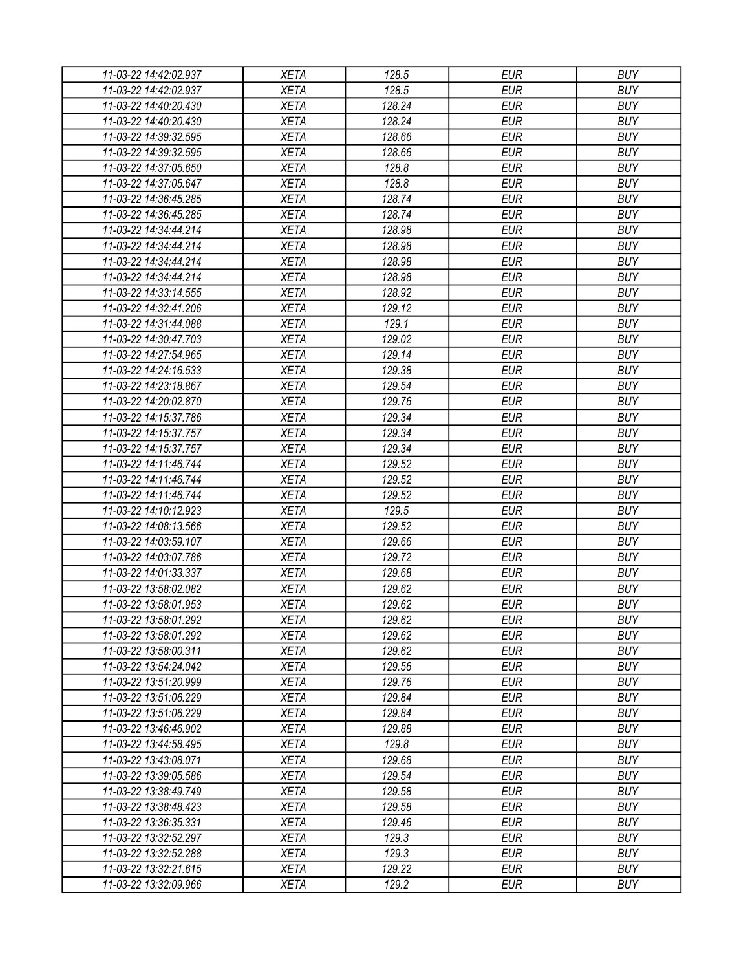| 11-03-22 14:42:02.937 | <b>XETA</b> | 128.5  | <b>EUR</b> | <b>BUY</b> |
|-----------------------|-------------|--------|------------|------------|
| 11-03-22 14:42:02.937 | <b>XETA</b> | 128.5  | <b>EUR</b> | <b>BUY</b> |
| 11-03-22 14:40:20.430 | <b>XETA</b> | 128.24 | <b>EUR</b> | <b>BUY</b> |
| 11-03-22 14:40:20.430 | <b>XETA</b> | 128.24 | <b>EUR</b> | <b>BUY</b> |
| 11-03-22 14:39:32.595 | <b>XETA</b> | 128.66 | <b>EUR</b> | <b>BUY</b> |
| 11-03-22 14:39:32.595 | <b>XETA</b> | 128.66 | <b>EUR</b> | <b>BUY</b> |
| 11-03-22 14:37:05.650 | <b>XETA</b> | 128.8  | <b>EUR</b> | <b>BUY</b> |
| 11-03-22 14:37:05.647 | <b>XETA</b> | 128.8  | <b>EUR</b> | <b>BUY</b> |
| 11-03-22 14:36:45.285 | <b>XETA</b> | 128.74 | <b>EUR</b> | <b>BUY</b> |
| 11-03-22 14:36:45.285 | <b>XETA</b> | 128.74 | <b>EUR</b> | <b>BUY</b> |
| 11-03-22 14:34:44.214 | <b>XETA</b> | 128.98 | <b>EUR</b> | <b>BUY</b> |
| 11-03-22 14:34:44.214 | <b>XETA</b> | 128.98 | <b>EUR</b> | <b>BUY</b> |
| 11-03-22 14:34:44.214 | <b>XETA</b> | 128.98 | <b>EUR</b> | <b>BUY</b> |
| 11-03-22 14:34:44.214 | <b>XETA</b> | 128.98 | <b>EUR</b> | <b>BUY</b> |
| 11-03-22 14:33:14.555 | <b>XETA</b> | 128.92 | <b>EUR</b> | <b>BUY</b> |
| 11-03-22 14:32:41.206 | <b>XETA</b> | 129.12 | <b>EUR</b> | <b>BUY</b> |
| 11-03-22 14:31:44.088 | <b>XETA</b> | 129.1  | <b>EUR</b> | <b>BUY</b> |
| 11-03-22 14:30:47.703 | <b>XETA</b> | 129.02 | <b>EUR</b> | <b>BUY</b> |
| 11-03-22 14:27:54.965 | <b>XETA</b> | 129.14 | <b>EUR</b> | <b>BUY</b> |
| 11-03-22 14:24:16.533 | <b>XETA</b> | 129.38 | <b>EUR</b> | <b>BUY</b> |
| 11-03-22 14:23:18.867 | <b>XETA</b> | 129.54 | <b>EUR</b> | <b>BUY</b> |
| 11-03-22 14:20:02.870 | <b>XETA</b> | 129.76 | <b>EUR</b> | <b>BUY</b> |
| 11-03-22 14:15:37.786 | <b>XETA</b> | 129.34 | <b>EUR</b> | <b>BUY</b> |
| 11-03-22 14:15:37.757 | <b>XETA</b> | 129.34 | <b>EUR</b> | <b>BUY</b> |
| 11-03-22 14:15:37.757 | <b>XETA</b> | 129.34 | <b>EUR</b> | <b>BUY</b> |
| 11-03-22 14:11:46.744 | <b>XETA</b> | 129.52 | <b>EUR</b> | <b>BUY</b> |
| 11-03-22 14:11:46.744 | <b>XETA</b> | 129.52 | <b>EUR</b> | <b>BUY</b> |
| 11-03-22 14:11:46.744 | <b>XETA</b> | 129.52 | <b>EUR</b> | <b>BUY</b> |
| 11-03-22 14:10:12.923 | <b>XETA</b> | 129.5  | <b>EUR</b> | <b>BUY</b> |
| 11-03-22 14:08:13.566 | <b>XETA</b> | 129.52 | <b>EUR</b> | <b>BUY</b> |
| 11-03-22 14:03:59.107 | <b>XETA</b> | 129.66 | <b>EUR</b> | <b>BUY</b> |
| 11-03-22 14:03:07.786 | <b>XETA</b> | 129.72 | <b>EUR</b> | <b>BUY</b> |
| 11-03-22 14:01:33.337 | <b>XETA</b> | 129.68 | <b>EUR</b> | <b>BUY</b> |
| 11-03-22 13:58:02.082 | <b>XETA</b> | 129.62 | <b>EUR</b> | <b>BUY</b> |
| 11-03-22 13:58:01.953 | <b>XETA</b> | 129.62 | <b>EUR</b> | <b>BUY</b> |
| 11-03-22 13:58:01.292 | <b>XETA</b> | 129.62 | <b>EUR</b> | <b>BUY</b> |
| 11-03-22 13:58:01.292 | <b>XETA</b> | 129.62 | <b>EUR</b> | <b>BUY</b> |
| 11-03-22 13:58:00.311 | <b>XETA</b> | 129.62 | <b>EUR</b> | <b>BUY</b> |
| 11-03-22 13:54:24.042 | <b>XETA</b> | 129.56 | <b>EUR</b> | <b>BUY</b> |
| 11-03-22 13:51:20.999 | <b>XETA</b> | 129.76 | <b>EUR</b> | <b>BUY</b> |
|                       |             |        | <b>EUR</b> | <b>BUY</b> |
| 11-03-22 13:51:06.229 | <b>XETA</b> | 129.84 | <b>EUR</b> |            |
| 11-03-22 13:51:06.229 | <b>XETA</b> | 129.84 |            | <b>BUY</b> |
| 11-03-22 13:46:46.902 | <b>XETA</b> | 129.88 | <b>EUR</b> | <b>BUY</b> |
| 11-03-22 13:44:58.495 | <b>XETA</b> | 129.8  | <b>EUR</b> | <b>BUY</b> |
| 11-03-22 13:43:08.071 | <b>XETA</b> | 129.68 | <b>EUR</b> | <b>BUY</b> |
| 11-03-22 13:39:05.586 | <b>XETA</b> | 129.54 | <b>EUR</b> | <b>BUY</b> |
| 11-03-22 13:38:49.749 | <b>XETA</b> | 129.58 | <b>EUR</b> | <b>BUY</b> |
| 11-03-22 13:38:48.423 | <b>XETA</b> | 129.58 | <b>EUR</b> | <b>BUY</b> |
| 11-03-22 13:36:35.331 | <b>XETA</b> | 129.46 | <b>EUR</b> | <b>BUY</b> |
| 11-03-22 13:32:52.297 | <b>XETA</b> | 129.3  | <b>EUR</b> | <b>BUY</b> |
| 11-03-22 13:32:52.288 | <b>XETA</b> | 129.3  | <b>EUR</b> | <b>BUY</b> |
| 11-03-22 13:32:21.615 | <b>XETA</b> | 129.22 | <b>EUR</b> | <b>BUY</b> |
| 11-03-22 13:32:09.966 | <b>XETA</b> | 129.2  | <b>EUR</b> | <b>BUY</b> |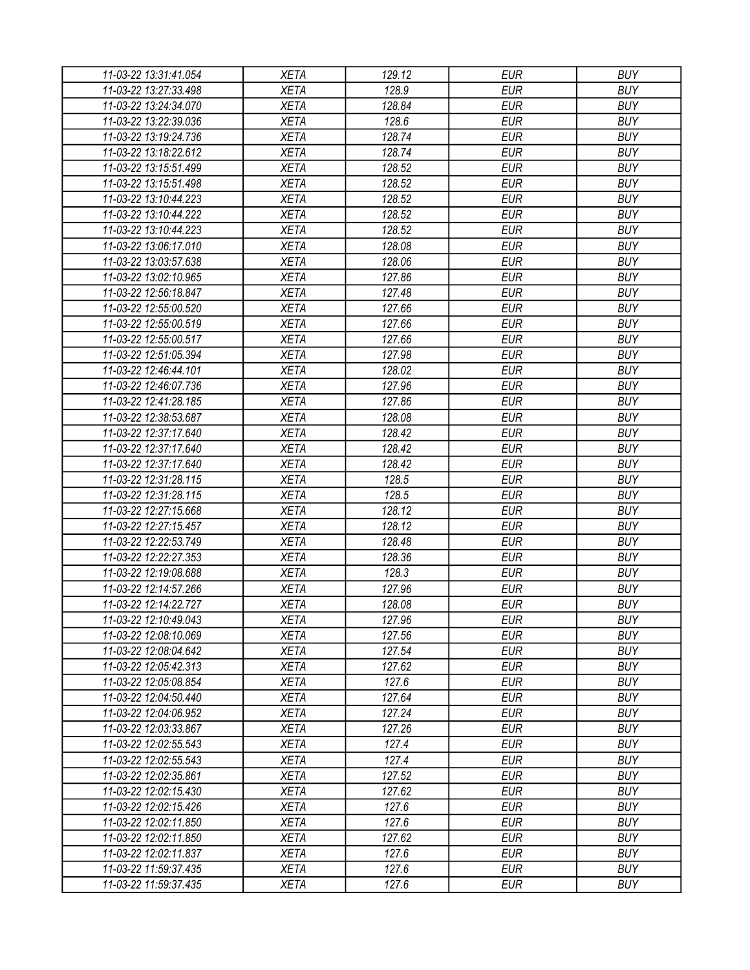| 11-03-22 13:31:41.054 | XETA                       | 129.12 | EUR        | <b>BUY</b> |
|-----------------------|----------------------------|--------|------------|------------|
| 11-03-22 13:27:33.498 | <b>XETA</b>                | 128.9  | <b>EUR</b> | <b>BUY</b> |
| 11-03-22 13:24:34.070 | <b>XETA</b>                | 128.84 | <b>EUR</b> | <b>BUY</b> |
| 11-03-22 13:22:39.036 | <b>XETA</b>                | 128.6  | <b>EUR</b> | <b>BUY</b> |
| 11-03-22 13:19:24.736 | <b>XETA</b>                | 128.74 | <b>EUR</b> | <b>BUY</b> |
| 11-03-22 13:18:22.612 | <b>XETA</b>                | 128.74 | <b>EUR</b> | <b>BUY</b> |
| 11-03-22 13:15:51.499 | <b>XETA</b>                | 128.52 | <b>EUR</b> | <b>BUY</b> |
| 11-03-22 13:15:51.498 | <b>XETA</b>                | 128.52 | <b>EUR</b> | <b>BUY</b> |
| 11-03-22 13:10:44.223 | <b>XETA</b>                | 128.52 | <b>EUR</b> | <b>BUY</b> |
| 11-03-22 13:10:44.222 | <b>XETA</b>                | 128.52 | <b>EUR</b> | <b>BUY</b> |
| 11-03-22 13:10:44.223 | <b>XETA</b>                | 128.52 | <b>EUR</b> | <b>BUY</b> |
| 11-03-22 13:06:17.010 | <b>XETA</b>                | 128.08 | <b>EUR</b> | <b>BUY</b> |
| 11-03-22 13:03:57.638 | <b>XETA</b>                | 128.06 | <b>EUR</b> | <b>BUY</b> |
| 11-03-22 13:02:10.965 | <b>XETA</b>                | 127.86 | <b>EUR</b> | <b>BUY</b> |
| 11-03-22 12:56:18.847 | <b>XETA</b>                | 127.48 | <b>EUR</b> | <b>BUY</b> |
| 11-03-22 12:55:00.520 | <b>XETA</b>                | 127.66 | <b>EUR</b> | <b>BUY</b> |
| 11-03-22 12:55:00.519 | <b>XETA</b>                | 127.66 | <b>EUR</b> | <b>BUY</b> |
| 11-03-22 12:55:00.517 | <b>XETA</b>                | 127.66 | <b>EUR</b> | <b>BUY</b> |
| 11-03-22 12:51:05.394 | <b>XETA</b>                | 127.98 | <b>EUR</b> | <b>BUY</b> |
| 11-03-22 12:46:44.101 | <b>XETA</b>                | 128.02 | <b>EUR</b> | <b>BUY</b> |
| 11-03-22 12:46:07.736 | <b>XETA</b>                | 127.96 | <b>EUR</b> | <b>BUY</b> |
| 11-03-22 12:41:28.185 | <b>XETA</b>                | 127.86 | <b>EUR</b> | <b>BUY</b> |
| 11-03-22 12:38:53.687 | <b>XETA</b>                | 128.08 | <b>EUR</b> | <b>BUY</b> |
| 11-03-22 12:37:17.640 | <b>XETA</b>                | 128.42 | <b>EUR</b> | <b>BUY</b> |
| 11-03-22 12:37:17.640 | <b>XETA</b>                | 128.42 | <b>EUR</b> | <b>BUY</b> |
| 11-03-22 12:37:17.640 | <b>XETA</b>                | 128.42 | <b>EUR</b> | <b>BUY</b> |
| 11-03-22 12:31:28.115 | <b>XETA</b>                | 128.5  | <b>EUR</b> | <b>BUY</b> |
| 11-03-22 12:31:28.115 | <b>XETA</b>                | 128.5  | <b>EUR</b> | <b>BUY</b> |
| 11-03-22 12:27:15.668 | <b>XETA</b>                | 128.12 | <b>EUR</b> | <b>BUY</b> |
| 11-03-22 12:27:15.457 | <b>XETA</b>                | 128.12 | <b>EUR</b> | <b>BUY</b> |
| 11-03-22 12:22:53.749 | <b>XETA</b>                | 128.48 | <b>EUR</b> | <b>BUY</b> |
| 11-03-22 12:22:27.353 | <b>XETA</b>                | 128.36 | <b>EUR</b> | <b>BUY</b> |
| 11-03-22 12:19:08.688 | <b>XETA</b>                | 128.3  | <b>EUR</b> | <b>BUY</b> |
| 11-03-22 12:14:57.266 | <b>XETA</b>                | 127.96 | <b>EUR</b> | <b>BUY</b> |
| 11-03-22 12:14:22.727 | <b>XETA</b>                | 128.08 | <b>EUR</b> | <b>BUY</b> |
| 11-03-22 12:10:49.043 | <b>XETA</b>                | 127.96 | <b>EUR</b> | <b>BUY</b> |
| 11-03-22 12:08:10.069 |                            | 127.56 | <b>EUR</b> | <b>BUY</b> |
| 11-03-22 12:08:04.642 | <b>XETA</b><br><b>XETA</b> | 127.54 | <b>EUR</b> | <b>BUY</b> |
| 11-03-22 12:05:42.313 | <b>XETA</b>                | 127.62 | <b>EUR</b> | <b>BUY</b> |
|                       |                            | 127.6  | <b>EUR</b> | <b>BUY</b> |
| 11-03-22 12:05:08.854 | <b>XETA</b>                |        |            |            |
| 11-03-22 12:04:50.440 | <b>XETA</b>                | 127.64 | <b>EUR</b> | <b>BUY</b> |
| 11-03-22 12:04:06.952 | <b>XETA</b>                | 127.24 | <b>EUR</b> | <b>BUY</b> |
| 11-03-22 12:03:33.867 | <b>XETA</b>                | 127.26 | <b>EUR</b> | <b>BUY</b> |
| 11-03-22 12:02:55.543 | <b>XETA</b>                | 127.4  | <b>EUR</b> | <b>BUY</b> |
| 11-03-22 12:02:55.543 | <b>XETA</b>                | 127.4  | <b>EUR</b> | <b>BUY</b> |
| 11-03-22 12:02:35.861 | <b>XETA</b>                | 127.52 | <b>EUR</b> | <b>BUY</b> |
| 11-03-22 12:02:15.430 | <b>XETA</b>                | 127.62 | <b>EUR</b> | <b>BUY</b> |
| 11-03-22 12:02:15.426 | <b>XETA</b>                | 127.6  | <b>EUR</b> | <b>BUY</b> |
| 11-03-22 12:02:11.850 | <b>XETA</b>                | 127.6  | <b>EUR</b> | <b>BUY</b> |
| 11-03-22 12:02:11.850 | <b>XETA</b>                | 127.62 | <b>EUR</b> | <b>BUY</b> |
| 11-03-22 12:02:11.837 | <b>XETA</b>                | 127.6  | EUR        | <b>BUY</b> |
| 11-03-22 11:59:37.435 | <b>XETA</b>                | 127.6  | <b>EUR</b> | <b>BUY</b> |
| 11-03-22 11:59:37.435 | XETA                       | 127.6  | <b>EUR</b> | <b>BUY</b> |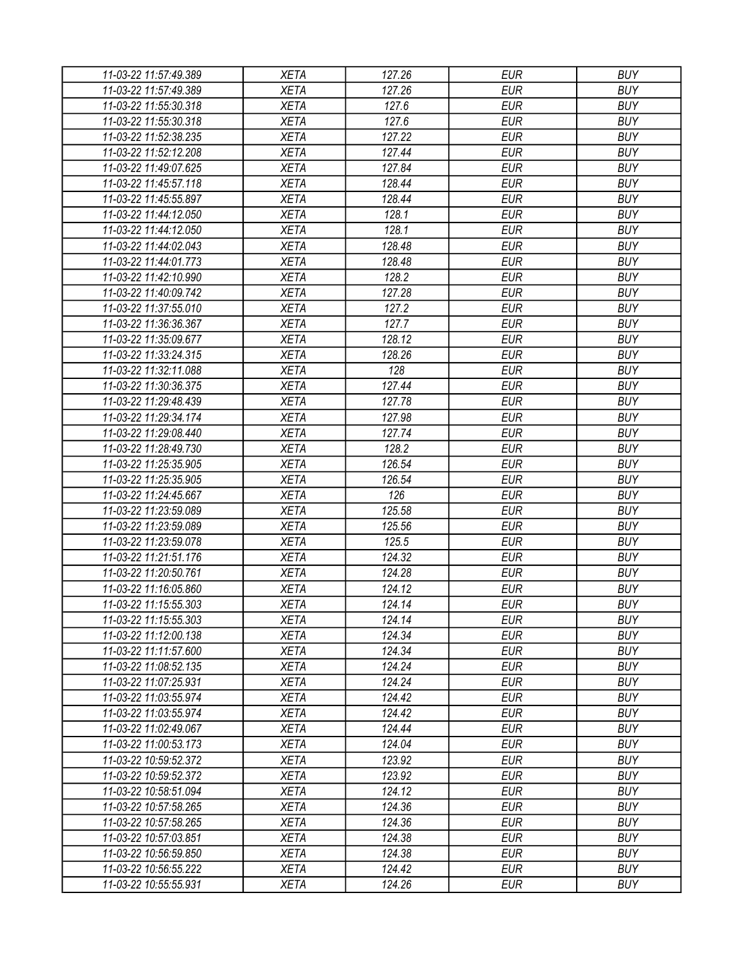| 11-03-22 11:57:49.389<br><b>XETA</b><br>127.26<br><b>EUR</b><br><b>BUY</b><br>127.26<br>11-03-22 11:57:49.389<br><b>XETA</b><br><b>EUR</b><br><b>BUY</b><br><b>EUR</b><br>11-03-22 11:55:30.318<br><b>XETA</b><br>127.6<br><b>BUY</b><br>127.6<br><b>EUR</b><br><b>BUY</b><br>11-03-22 11:55:30.318<br><b>XETA</b><br><b>XETA</b><br>127.22<br><b>EUR</b><br><b>BUY</b><br>11-03-22 11:52:38.235 |  |
|--------------------------------------------------------------------------------------------------------------------------------------------------------------------------------------------------------------------------------------------------------------------------------------------------------------------------------------------------------------------------------------------------|--|
|                                                                                                                                                                                                                                                                                                                                                                                                  |  |
|                                                                                                                                                                                                                                                                                                                                                                                                  |  |
|                                                                                                                                                                                                                                                                                                                                                                                                  |  |
|                                                                                                                                                                                                                                                                                                                                                                                                  |  |
|                                                                                                                                                                                                                                                                                                                                                                                                  |  |
| 127.44<br><b>BUY</b><br>11-03-22 11:52:12.208<br><b>XETA</b><br><b>EUR</b>                                                                                                                                                                                                                                                                                                                       |  |
| 127.84<br><b>EUR</b><br><b>BUY</b><br>11-03-22 11:49:07.625<br><b>XETA</b>                                                                                                                                                                                                                                                                                                                       |  |
| <b>EUR</b><br>11-03-22 11:45:57.118<br><b>XETA</b><br>128.44<br><b>BUY</b>                                                                                                                                                                                                                                                                                                                       |  |
| <b>EUR</b><br><b>BUY</b><br>11-03-22 11:45:55.897<br><b>XETA</b><br>128.44                                                                                                                                                                                                                                                                                                                       |  |
| 128.1<br><b>EUR</b><br><b>BUY</b><br>11-03-22 11:44:12.050<br><b>XETA</b>                                                                                                                                                                                                                                                                                                                        |  |
| 128.1<br>11-03-22 11:44:12.050<br><b>EUR</b><br><b>BUY</b><br><b>XETA</b>                                                                                                                                                                                                                                                                                                                        |  |
| 11-03-22 11:44:02.043<br>128.48<br><b>EUR</b><br><b>BUY</b><br><b>XETA</b>                                                                                                                                                                                                                                                                                                                       |  |
| <b>BUY</b><br>11-03-22 11:44:01.773<br><b>XETA</b><br>128.48<br><b>EUR</b>                                                                                                                                                                                                                                                                                                                       |  |
| 128.2<br>11-03-22 11:42:10.990<br><b>XETA</b><br><b>EUR</b><br><b>BUY</b>                                                                                                                                                                                                                                                                                                                        |  |
| 127.28<br><b>EUR</b><br><b>BUY</b><br>11-03-22 11:40:09.742<br><b>XETA</b>                                                                                                                                                                                                                                                                                                                       |  |
| 127.2<br><b>EUR</b><br>11-03-22 11:37:55.010<br><b>XETA</b><br><b>BUY</b>                                                                                                                                                                                                                                                                                                                        |  |
| <b>EUR</b><br><b>XETA</b><br>127.7<br><b>BUY</b><br>11-03-22 11:36:36.367                                                                                                                                                                                                                                                                                                                        |  |
| <b>XETA</b><br>128.12<br><b>EUR</b><br><b>BUY</b><br>11-03-22 11:35:09.677                                                                                                                                                                                                                                                                                                                       |  |
| 11-03-22 11:33:24.315<br><b>XETA</b><br>128.26<br><b>EUR</b><br><b>BUY</b>                                                                                                                                                                                                                                                                                                                       |  |
| <b>EUR</b><br>11-03-22 11:32:11.088<br><b>XETA</b><br>128<br><b>BUY</b>                                                                                                                                                                                                                                                                                                                          |  |
| 127.44<br><b>EUR</b><br><b>BUY</b><br>11-03-22 11:30:36.375<br><b>XETA</b>                                                                                                                                                                                                                                                                                                                       |  |
| <b>XETA</b><br>127.78<br><b>EUR</b><br><b>BUY</b>                                                                                                                                                                                                                                                                                                                                                |  |
| 11-03-22 11:29:48.439                                                                                                                                                                                                                                                                                                                                                                            |  |
| <b>EUR</b><br><b>BUY</b><br>11-03-22 11:29:34.174<br><b>XETA</b><br>127.98                                                                                                                                                                                                                                                                                                                       |  |
| 127.74<br><b>EUR</b><br><b>BUY</b><br>11-03-22 11:29:08.440<br><b>XETA</b>                                                                                                                                                                                                                                                                                                                       |  |
| 128.2<br><b>EUR</b><br><b>BUY</b><br>11-03-22 11:28:49.730<br><b>XETA</b>                                                                                                                                                                                                                                                                                                                        |  |
| 126.54<br><b>EUR</b><br>11-03-22 11:25:35.905<br><b>XETA</b><br><b>BUY</b>                                                                                                                                                                                                                                                                                                                       |  |
| 126.54<br><b>EUR</b><br><b>BUY</b><br>11-03-22 11:25:35.905<br><b>XETA</b>                                                                                                                                                                                                                                                                                                                       |  |
| 11-03-22 11:24:45.667<br><b>XETA</b><br>126<br><b>EUR</b><br><b>BUY</b>                                                                                                                                                                                                                                                                                                                          |  |
| 125.58<br>11-03-22 11:23:59.089<br><b>XETA</b><br><b>EUR</b><br><b>BUY</b>                                                                                                                                                                                                                                                                                                                       |  |
| 11-03-22 11:23:59.089<br><b>XETA</b><br>125.56<br><b>EUR</b><br><b>BUY</b>                                                                                                                                                                                                                                                                                                                       |  |
| 125.5<br>11-03-22 11:23:59.078<br><b>XETA</b><br><b>EUR</b><br><b>BUY</b>                                                                                                                                                                                                                                                                                                                        |  |
| 124.32<br><b>EUR</b><br><b>BUY</b><br>11-03-22 11:21:51.176<br><b>XETA</b>                                                                                                                                                                                                                                                                                                                       |  |
| <b>EUR</b><br>11-03-22 11:20:50.761<br><b>XETA</b><br>124.28<br><b>BUY</b>                                                                                                                                                                                                                                                                                                                       |  |
| <b>EUR</b><br><b>BUY</b><br>11-03-22 11:16:05.860<br><b>XETA</b><br>124.12                                                                                                                                                                                                                                                                                                                       |  |
| 124.14<br><b>EUR</b><br><b>BUY</b><br>11-03-22 11:15:55.303<br><b>XETA</b>                                                                                                                                                                                                                                                                                                                       |  |
| 11-03-22 11:15:55.303<br><b>XETA</b><br>124.14<br><b>BUY</b><br><b>EUR</b>                                                                                                                                                                                                                                                                                                                       |  |
| 124.34<br><b>EUR</b><br><b>BUY</b><br>11-03-22 11:12:00.138<br><b>XETA</b>                                                                                                                                                                                                                                                                                                                       |  |
| <b>BUY</b><br>11-03-22 11:11:57.600<br>124.34<br><b>EUR</b><br><b>XETA</b>                                                                                                                                                                                                                                                                                                                       |  |
| <b>XETA</b><br>124.24<br><b>EUR</b><br><b>BUY</b><br>11-03-22 11:08:52.135                                                                                                                                                                                                                                                                                                                       |  |
| 124.24<br><b>EUR</b><br><b>BUY</b><br><b>XETA</b><br>11-03-22 11:07:25.931                                                                                                                                                                                                                                                                                                                       |  |
| <b>XETA</b><br>124.42<br><b>EUR</b><br><b>BUY</b><br>11-03-22 11:03:55.974                                                                                                                                                                                                                                                                                                                       |  |
| <b>EUR</b><br><b>BUY</b><br>11-03-22 11:03:55.974<br><b>XETA</b><br>124.42                                                                                                                                                                                                                                                                                                                       |  |
| <b>XETA</b><br><b>EUR</b><br><b>BUY</b><br>11-03-22 11:02:49.067<br>124.44                                                                                                                                                                                                                                                                                                                       |  |
| <b>XETA</b><br>124.04<br><b>EUR</b><br><b>BUY</b><br>11-03-22 11:00:53.173                                                                                                                                                                                                                                                                                                                       |  |
| <b>XETA</b><br>123.92<br><b>EUR</b><br><b>BUY</b><br>11-03-22 10:59:52.372                                                                                                                                                                                                                                                                                                                       |  |
| 123.92<br><b>EUR</b><br><b>BUY</b><br>11-03-22 10:59:52.372<br><b>XETA</b>                                                                                                                                                                                                                                                                                                                       |  |
| <b>XETA</b><br>124.12<br><b>EUR</b><br><b>BUY</b><br>11-03-22 10:58:51.094                                                                                                                                                                                                                                                                                                                       |  |
| <b>BUY</b><br><b>XETA</b><br>124.36<br><b>EUR</b><br>11-03-22 10:57:58.265                                                                                                                                                                                                                                                                                                                       |  |
| <b>XETA</b><br>124.36<br><b>EUR</b><br><b>BUY</b><br>11-03-22 10:57:58.265                                                                                                                                                                                                                                                                                                                       |  |
| <b>EUR</b><br><b>BUY</b><br>11-03-22 10:57:03.851<br><b>XETA</b><br>124.38                                                                                                                                                                                                                                                                                                                       |  |
| 11-03-22 10:56:59.850<br><b>XETA</b><br>124.38<br>EUR<br><b>BUY</b>                                                                                                                                                                                                                                                                                                                              |  |
| 124.42<br><b>EUR</b><br><b>BUY</b><br>11-03-22 10:56:55.222<br>XETA                                                                                                                                                                                                                                                                                                                              |  |
| 124.26<br><b>EUR</b><br><b>BUY</b><br>11-03-22 10:55:55.931<br><b>XETA</b>                                                                                                                                                                                                                                                                                                                       |  |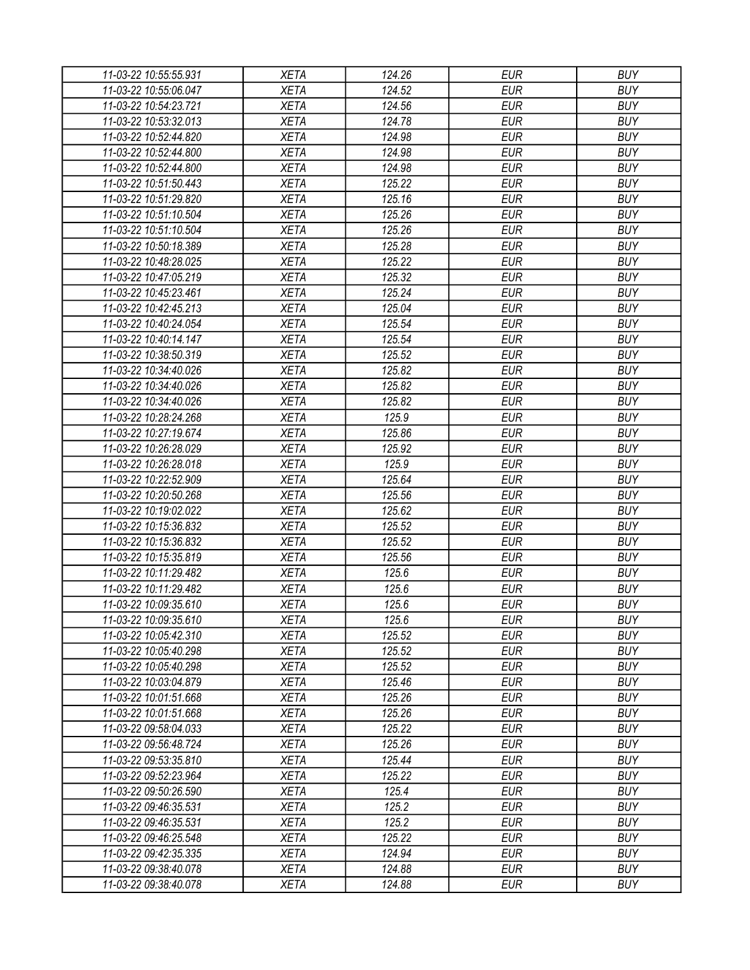| 11-03-22 10:55:55.931 | <b>XETA</b> | 124.26 | <b>EUR</b> | <b>BUY</b> |
|-----------------------|-------------|--------|------------|------------|
| 11-03-22 10:55:06.047 | <b>XETA</b> | 124.52 | <b>EUR</b> | <b>BUY</b> |
| 11-03-22 10:54:23.721 | <b>XETA</b> | 124.56 | <b>EUR</b> | <b>BUY</b> |
| 11-03-22 10:53:32.013 | <b>XETA</b> | 124.78 | <b>EUR</b> | <b>BUY</b> |
| 11-03-22 10:52:44.820 | <b>XETA</b> | 124.98 | <b>EUR</b> | <b>BUY</b> |
| 11-03-22 10:52:44.800 | <b>XETA</b> | 124.98 | <b>EUR</b> | <b>BUY</b> |
| 11-03-22 10:52:44.800 | <b>XETA</b> | 124.98 | <b>EUR</b> | <b>BUY</b> |
| 11-03-22 10:51:50.443 | <b>XETA</b> | 125.22 | <b>EUR</b> | <b>BUY</b> |
| 11-03-22 10:51:29.820 | <b>XETA</b> | 125.16 | <b>EUR</b> | <b>BUY</b> |
| 11-03-22 10:51:10.504 | <b>XETA</b> | 125.26 | <b>EUR</b> | <b>BUY</b> |
| 11-03-22 10:51:10.504 | <b>XETA</b> | 125.26 | <b>EUR</b> | <b>BUY</b> |
| 11-03-22 10:50:18.389 | <b>XETA</b> | 125.28 | <b>EUR</b> | <b>BUY</b> |
| 11-03-22 10:48:28.025 | <b>XETA</b> | 125.22 | <b>EUR</b> | <b>BUY</b> |
| 11-03-22 10:47:05.219 | <b>XETA</b> | 125.32 | <b>EUR</b> | <b>BUY</b> |
| 11-03-22 10:45:23.461 | <b>XETA</b> | 125.24 | <b>EUR</b> | <b>BUY</b> |
| 11-03-22 10:42:45.213 | <b>XETA</b> | 125.04 | <b>EUR</b> | <b>BUY</b> |
| 11-03-22 10:40:24.054 | <b>XETA</b> | 125.54 | <b>EUR</b> | <b>BUY</b> |
| 11-03-22 10:40:14.147 | <b>XETA</b> | 125.54 | <b>EUR</b> | <b>BUY</b> |
| 11-03-22 10:38:50.319 | <b>XETA</b> | 125.52 | <b>EUR</b> | <b>BUY</b> |
| 11-03-22 10:34:40.026 | <b>XETA</b> | 125.82 | <b>EUR</b> | <b>BUY</b> |
| 11-03-22 10:34:40.026 | <b>XETA</b> | 125.82 | <b>EUR</b> | <b>BUY</b> |
|                       | <b>XETA</b> | 125.82 | <b>EUR</b> | <b>BUY</b> |
| 11-03-22 10:34:40.026 |             |        |            |            |
| 11-03-22 10:28:24.268 | <b>XETA</b> | 125.9  | <b>EUR</b> | <b>BUY</b> |
| 11-03-22 10:27:19.674 | <b>XETA</b> | 125.86 | <b>EUR</b> | <b>BUY</b> |
| 11-03-22 10:26:28.029 | <b>XETA</b> | 125.92 | <b>EUR</b> | <b>BUY</b> |
| 11-03-22 10:26:28.018 | <b>XETA</b> | 125.9  | <b>EUR</b> | <b>BUY</b> |
| 11-03-22 10:22:52.909 | <b>XETA</b> | 125.64 | <b>EUR</b> | <b>BUY</b> |
| 11-03-22 10:20:50.268 | <b>XETA</b> | 125.56 | <b>EUR</b> | <b>BUY</b> |
| 11-03-22 10:19:02.022 | <b>XETA</b> | 125.62 | <b>EUR</b> | <b>BUY</b> |
| 11-03-22 10:15:36.832 | <b>XETA</b> | 125.52 | <b>EUR</b> | <b>BUY</b> |
| 11-03-22 10:15:36.832 | <b>XETA</b> | 125.52 | <b>EUR</b> | <b>BUY</b> |
| 11-03-22 10:15:35.819 | <b>XETA</b> | 125.56 | <b>EUR</b> | <b>BUY</b> |
| 11-03-22 10:11:29.482 | <b>XETA</b> | 125.6  | <b>EUR</b> | <b>BUY</b> |
| 11-03-22 10:11:29.482 | <b>XETA</b> | 125.6  | <b>EUR</b> | <b>BUY</b> |
| 11-03-22 10:09:35.610 | <b>XETA</b> | 125.6  | <b>EUR</b> | <b>BUY</b> |
| 11-03-22 10:09:35.610 | <b>XETA</b> | 125.6  | <b>EUR</b> | <b>BUY</b> |
| 11-03-22 10:05:42.310 | <b>XETA</b> | 125.52 | <b>EUR</b> | <b>BUY</b> |
| 11-03-22 10:05:40.298 | <b>XETA</b> | 125.52 | <b>EUR</b> | <b>BUY</b> |
| 11-03-22 10:05:40.298 | <b>XETA</b> | 125.52 | <b>EUR</b> | <b>BUY</b> |
| 11-03-22 10:03:04.879 | <b>XETA</b> | 125.46 | <b>EUR</b> | <b>BUY</b> |
| 11-03-22 10:01:51.668 | <b>XETA</b> | 125.26 | <b>EUR</b> | <b>BUY</b> |
| 11-03-22 10:01:51.668 | <b>XETA</b> | 125.26 | <b>EUR</b> | <b>BUY</b> |
| 11-03-22 09:58:04.033 | <b>XETA</b> | 125.22 | <b>EUR</b> | <b>BUY</b> |
| 11-03-22 09:56:48.724 | <b>XETA</b> | 125.26 | <b>EUR</b> | <b>BUY</b> |
| 11-03-22 09:53:35.810 | <b>XETA</b> | 125.44 | <b>EUR</b> | <b>BUY</b> |
| 11-03-22 09:52:23.964 | <b>XETA</b> | 125.22 | <b>EUR</b> | <b>BUY</b> |
| 11-03-22 09:50:26.590 | <b>XETA</b> | 125.4  | <b>EUR</b> | <b>BUY</b> |
| 11-03-22 09:46:35.531 | <b>XETA</b> | 125.2  | <b>EUR</b> | <b>BUY</b> |
| 11-03-22 09:46:35.531 | <b>XETA</b> | 125.2  | <b>EUR</b> | <b>BUY</b> |
| 11-03-22 09:46:25.548 | <b>XETA</b> | 125.22 | <b>EUR</b> | <b>BUY</b> |
| 11-03-22 09:42:35.335 | <b>XETA</b> | 124.94 | EUR        | <b>BUY</b> |
| 11-03-22 09:38:40.078 | XETA        | 124.88 | <b>EUR</b> | <b>BUY</b> |
| 11-03-22 09:38:40.078 | <b>XETA</b> | 124.88 | <b>EUR</b> | <b>BUY</b> |
|                       |             |        |            |            |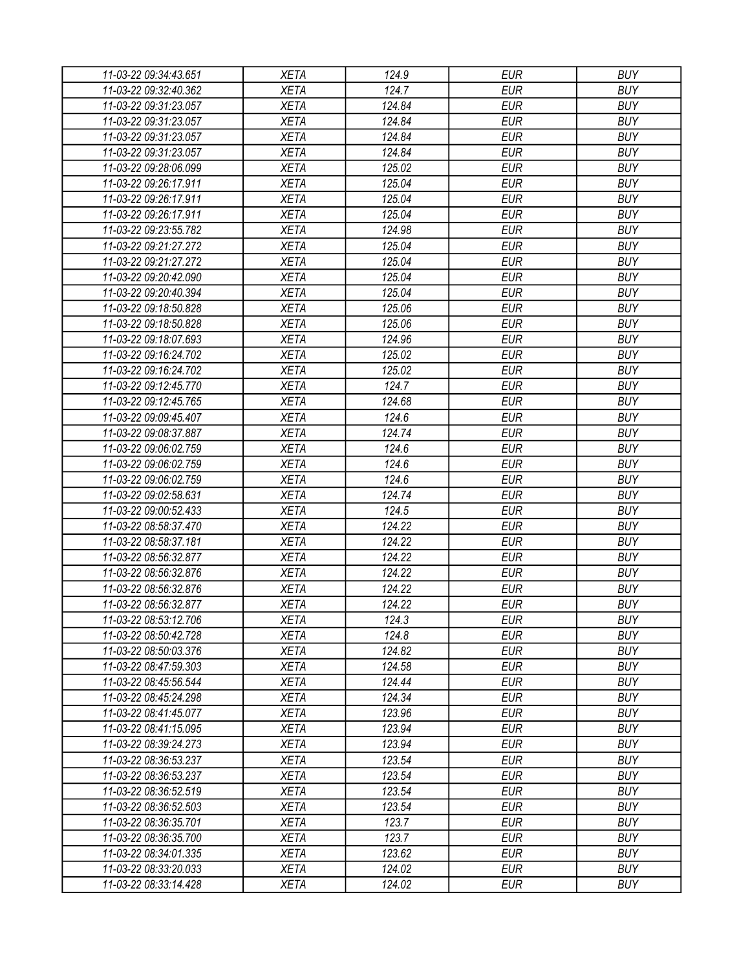| 11-03-22 09:34:43.651 | <b>XETA</b> | 124.9  | <b>EUR</b> | <b>BUY</b> |
|-----------------------|-------------|--------|------------|------------|
| 11-03-22 09:32:40.362 | <b>XETA</b> | 124.7  | <b>EUR</b> | <b>BUY</b> |
| 11-03-22 09:31:23.057 | <b>XETA</b> | 124.84 | <b>EUR</b> | <b>BUY</b> |
| 11-03-22 09:31:23.057 | <b>XETA</b> | 124.84 | <b>EUR</b> | <b>BUY</b> |
| 11-03-22 09:31:23.057 | <b>XETA</b> | 124.84 | <b>EUR</b> | <b>BUY</b> |
| 11-03-22 09:31:23.057 | <b>XETA</b> | 124.84 | <b>EUR</b> | <b>BUY</b> |
| 11-03-22 09:28:06.099 | <b>XETA</b> | 125.02 | <b>EUR</b> | <b>BUY</b> |
| 11-03-22 09:26:17.911 | <b>XETA</b> | 125.04 | <b>EUR</b> | <b>BUY</b> |
| 11-03-22 09:26:17.911 | <b>XETA</b> | 125.04 | <b>EUR</b> | <b>BUY</b> |
| 11-03-22 09:26:17.911 | <b>XETA</b> | 125.04 | <b>EUR</b> | <b>BUY</b> |
| 11-03-22 09:23:55.782 | <b>XETA</b> | 124.98 | <b>EUR</b> | <b>BUY</b> |
| 11-03-22 09:21:27.272 | <b>XETA</b> | 125.04 | <b>EUR</b> | <b>BUY</b> |
| 11-03-22 09:21:27.272 | <b>XETA</b> | 125.04 | <b>EUR</b> | <b>BUY</b> |
| 11-03-22 09:20:42.090 | <b>XETA</b> | 125.04 | <b>EUR</b> | <b>BUY</b> |
| 11-03-22 09:20:40.394 | <b>XETA</b> | 125.04 | <b>EUR</b> | <b>BUY</b> |
| 11-03-22 09:18:50.828 | <b>XETA</b> | 125.06 | <b>EUR</b> | <b>BUY</b> |
| 11-03-22 09:18:50.828 | <b>XETA</b> | 125.06 | <b>EUR</b> | <b>BUY</b> |
| 11-03-22 09:18:07.693 | <b>XETA</b> | 124.96 | <b>EUR</b> | <b>BUY</b> |
| 11-03-22 09:16:24.702 | <b>XETA</b> | 125.02 | <b>EUR</b> | <b>BUY</b> |
| 11-03-22 09:16:24.702 | <b>XETA</b> | 125.02 | <b>EUR</b> | <b>BUY</b> |
| 11-03-22 09:12:45.770 | <b>XETA</b> | 124.7  | <b>EUR</b> | <b>BUY</b> |
| 11-03-22 09:12:45.765 | <b>XETA</b> | 124.68 | <b>EUR</b> | <b>BUY</b> |
| 11-03-22 09:09:45.407 | <b>XETA</b> | 124.6  | <b>EUR</b> | <b>BUY</b> |
| 11-03-22 09:08:37.887 | <b>XETA</b> | 124.74 | <b>EUR</b> | <b>BUY</b> |
| 11-03-22 09:06:02.759 | <b>XETA</b> | 124.6  | <b>EUR</b> | <b>BUY</b> |
| 11-03-22 09:06:02.759 | <b>XETA</b> | 124.6  | <b>EUR</b> | <b>BUY</b> |
| 11-03-22 09:06:02.759 | <b>XETA</b> | 124.6  | <b>EUR</b> | <b>BUY</b> |
| 11-03-22 09:02:58.631 | <b>XETA</b> | 124.74 | <b>EUR</b> | <b>BUY</b> |
| 11-03-22 09:00:52.433 | <b>XETA</b> | 124.5  | <b>EUR</b> | <b>BUY</b> |
| 11-03-22 08:58:37.470 | <b>XETA</b> | 124.22 | <b>EUR</b> | <b>BUY</b> |
| 11-03-22 08:58:37.181 | <b>XETA</b> | 124.22 | <b>EUR</b> | <b>BUY</b> |
| 11-03-22 08:56:32.877 | <b>XETA</b> | 124.22 | <b>EUR</b> | <b>BUY</b> |
| 11-03-22 08:56:32.876 | <b>XETA</b> | 124.22 | <b>EUR</b> | <b>BUY</b> |
| 11-03-22 08:56:32.876 | <b>XETA</b> | 124.22 | <b>EUR</b> | <b>BUY</b> |
| 11-03-22 08:56:32.877 | <b>XETA</b> | 124.22 | <b>EUR</b> | <b>BUY</b> |
| 11-03-22 08:53:12.706 | <b>XETA</b> | 124.3  | <b>EUR</b> | <b>BUY</b> |
| 11-03-22 08:50:42.728 |             | 124.8  | <b>EUR</b> | <b>BUY</b> |
|                       | <b>XETA</b> | 124.82 | <b>EUR</b> | <b>BUY</b> |
| 11-03-22 08:50:03.376 | <b>XETA</b> |        |            |            |
| 11-03-22 08:47:59.303 | <b>XETA</b> | 124.58 | <b>EUR</b> | <b>BUY</b> |
| 11-03-22 08:45:56.544 | <b>XETA</b> | 124.44 | <b>EUR</b> | <b>BUY</b> |
| 11-03-22 08:45:24.298 | XETA        | 124.34 | <b>EUR</b> | <b>BUY</b> |
| 11-03-22 08:41:45.077 | <b>XETA</b> | 123.96 | <b>EUR</b> | <b>BUY</b> |
| 11-03-22 08:41:15.095 | XETA        | 123.94 | <b>EUR</b> | <b>BUY</b> |
| 11-03-22 08:39:24.273 | <b>XETA</b> | 123.94 | <b>EUR</b> | <b>BUY</b> |
| 11-03-22 08:36:53.237 | <b>XETA</b> | 123.54 | <b>EUR</b> | <b>BUY</b> |
| 11-03-22 08:36:53.237 | <b>XETA</b> | 123.54 | <b>EUR</b> | <b>BUY</b> |
| 11-03-22 08:36:52.519 | <b>XETA</b> | 123.54 | <b>EUR</b> | <b>BUY</b> |
| 11-03-22 08:36:52.503 | <b>XETA</b> | 123.54 | <b>EUR</b> | <b>BUY</b> |
| 11-03-22 08:36:35.701 | <b>XETA</b> | 123.7  | <b>EUR</b> | <b>BUY</b> |
| 11-03-22 08:36:35.700 | <b>XETA</b> | 123.7  | <b>EUR</b> | <b>BUY</b> |
| 11-03-22 08:34:01.335 | <b>XETA</b> | 123.62 | <b>EUR</b> | <b>BUY</b> |
| 11-03-22 08:33:20.033 | <b>XETA</b> | 124.02 | <b>EUR</b> | <b>BUY</b> |
| 11-03-22 08:33:14.428 | <b>XETA</b> | 124.02 | <b>EUR</b> | <b>BUY</b> |